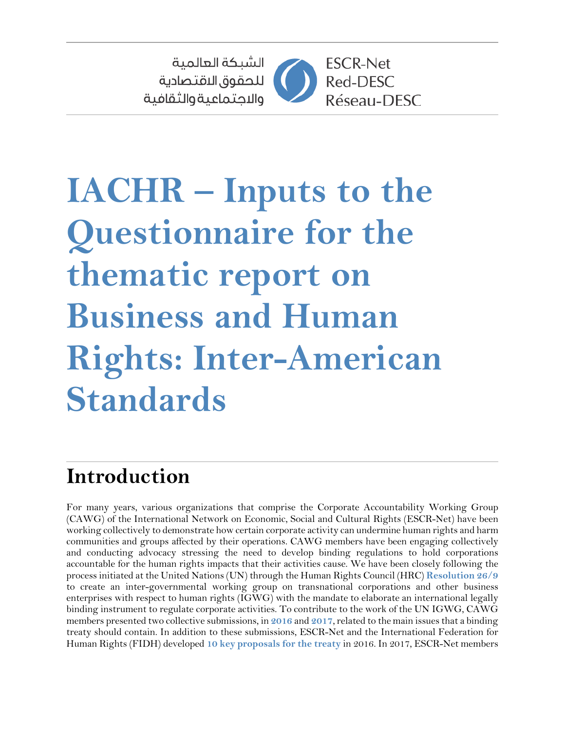

# **IACHR – Inputs to the Questionnaire for the thematic report on Business and Human Rights: Inter-American Standards**

# **Introduction**

For many years, various organizations that comprise the Corporate Accountability Working Group (CAWG) of the International Network on Economic, Social and Cultural Rights (ESCR-Net) have been working collectively to demonstrate how certain corporate activity can undermine human rights and harm communities and groups affected by their operations. CAWG members have been engaging collectively and conducting advocacy stressing the need to develop binding regulations to hold corporations accountable for the human rights impacts that their activities cause. We have been closely following the process initiated at the United Nations(UN) through the Human Rights Council (HRC) **[Resolution](http://ap.ohchr.org/documents/dpage_e.aspx?si=A/HRC/RES/26/9) 26/9** to create an inter-governmental working group on transnational corporations and other business enterprises with respect to human rights (IGWG) with the mandate to elaborate an international legally binding instrument to regulate corporate activities. To contribute to the work of the UN IGWG, CAWG members presented two collective submissions, in [2016](https://www.escr-net.org/sites/default/files/submission_igwg_english.pdf) and [2017](https://www.escr-net.org/sites/default/files/escr-net_cawg_submission_2017_for_igwg_eng.pdf), related to the main issues that a binding treaty should contain. In addition to these submissions, ESCR-Net and the International Federation for Human Rights (FIDH) developed **10 key [proposals](https://www.escr-net.org/sites/default/files/attachments/tenkeyproposals_final.pdf) for the treaty** in 2016. In 2017, ESCR-Net members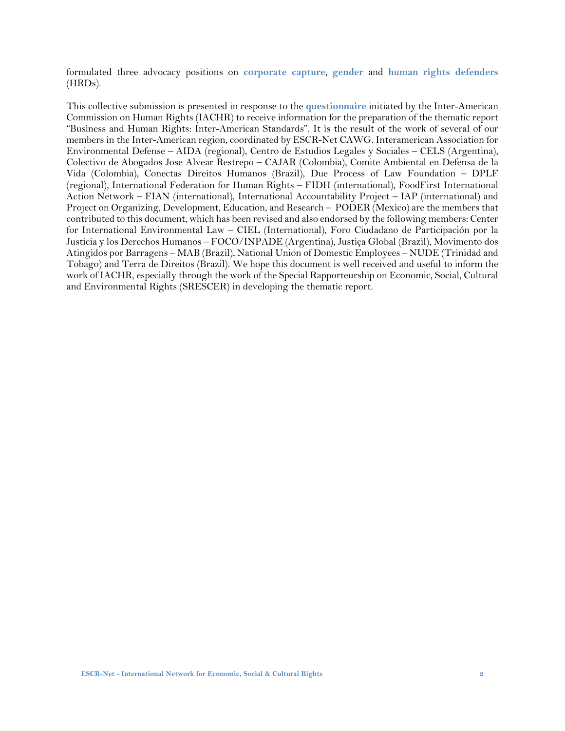formulated three advocacy positions on **[corporate](https://www.escr-net.org/sites/default/files/igwg_advocacy_material_-_corporate_capture.pdf) capture**, **[gender](https://www.escr-net.org/sites/default/files/igwg_advocacy_material_-_gender.pdf)** and **human rights [defenders](https://www.escr-net.org/sites/default/files/igwg_advocacy_material_-_hrd.pdf)** (HRDs).

This collective submission is presented in response to the **[questionnaire](http://www.oas.org/en/iachr/docs/pdf/2018/CuestionarioEmpresasDDHH-EN.pdf)** initiated by the Inter-American Commission on Human Rights (IACHR) to receive information for the preparation of the thematic report "Business and Human Rights: Inter-American Standards". It is the result of the work of several of our members in the Inter-American region, coordinated by ESCR-Net CAWG. Interamerican Association for Environmental Defense – AIDA (regional), Centro de Estudios Legales y Sociales – CELS (Argentina), Colectivo de Abogados Jose Alvear Restrepo – CAJAR (Colombia), Comite Ambiental en Defensa de la Vida (Colombia), Conectas Direitos Humanos (Brazil), Due Process of Law Foundation – DPLF (regional), International Federation for Human Rights – FIDH (international), FoodFirst International Action Network – FIAN (international), International Accountability Project – IAP (international) and Project on Organizing, Development, Education, and Research – PODER (Mexico) are the members that contributed to this document, which has been revised and also endorsed by the following members: Center for International Environmental Law – CIEL (International), Foro Ciudadano de Participación por la Justicia y los Derechos Humanos – FOCO/INPADE (Argentina), Justiça Global (Brazil), Movimento dos Atingidos por Barragens – MAB (Brazil), National Union of Domestic Employees – NUDE (Trinidad and Tobago) and Terra de Direitos (Brazil). We hope this document is well received and useful to inform the work of IACHR, especially through the work of the Special Rapporteurship on Economic, Social, Cultural and Environmental Rights (SRESCER) in developing the thematic report.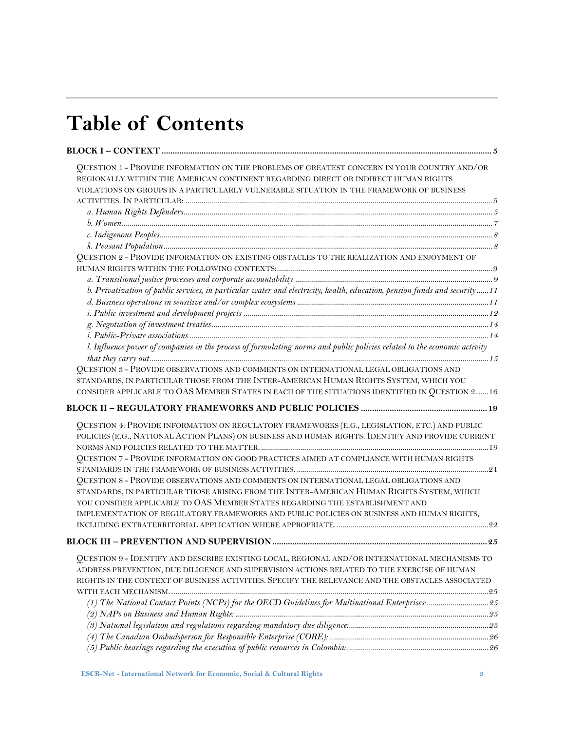# **Table of Contents**

| QUESTION 1 - PROVIDE INFORMATION ON THE PROBLEMS OF GREATEST CONCERN IN YOUR COUNTRY AND/OR                               |  |
|---------------------------------------------------------------------------------------------------------------------------|--|
| REGIONALLY WITHIN THE AMERICAN CONTINENT REGARDING DIRECT OR INDIRECT HUMAN RIGHTS                                        |  |
| VIOLATIONS ON GROUPS IN A PARTICULARLY VULNERABLE SITUATION IN THE FRAMEWORK OF BUSINESS                                  |  |
|                                                                                                                           |  |
|                                                                                                                           |  |
|                                                                                                                           |  |
|                                                                                                                           |  |
|                                                                                                                           |  |
| QUESTION 2 - PROVIDE INFORMATION ON EXISTING OBSTACLES TO THE REALIZATION AND ENJOYMENT OF                                |  |
|                                                                                                                           |  |
|                                                                                                                           |  |
| b. Privatization of public services, in particular water and electricity, health, education, pension funds and security11 |  |
|                                                                                                                           |  |
|                                                                                                                           |  |
|                                                                                                                           |  |
|                                                                                                                           |  |
| l. Influence power of companies in the process of formulating norms and public policies related to the economic activity  |  |
| QUESTION 3 - PROVIDE OBSERVATIONS AND COMMENTS ON INTERNATIONAL LEGAL OBLIGATIONS AND                                     |  |
| STANDARDS, IN PARTICULAR THOSE FROM THE INTER-AMERICAN HUMAN RIGHTS SYSTEM, WHICH YOU                                     |  |
| CONSIDER APPLICABLE TO OAS MEMBER STATES IN EACH OF THE SITUATIONS IDENTIFIED IN QUESTION 2 16                            |  |
|                                                                                                                           |  |
|                                                                                                                           |  |
| QUESTION 4: PROVIDE INFORMATION ON REGULATORY FRAMEWORKS (E.G., LEGISLATION, ETC.) AND PUBLIC                             |  |
| POLICIES (E.G., NATIONAL ACTION PLANS) ON BUSINESS AND HUMAN RIGHTS. IDENTIFY AND PROVIDE CURRENT                         |  |
|                                                                                                                           |  |
| QUESTION 7 - PROVIDE INFORMATION ON GOOD PRACTICES AIMED AT COMPLIANCE WITH HUMAN RIGHTS                                  |  |
|                                                                                                                           |  |
| QUESTION 8 - PROVIDE OBSERVATIONS AND COMMENTS ON INTERNATIONAL LEGAL OBLIGATIONS AND                                     |  |
| STANDARDS, IN PARTICULAR THOSE ARISING FROM THE INTER-AMERICAN HUMAN RIGHTS SYSTEM, WHICH                                 |  |
| YOU CONSIDER APPLICABLE TO OAS MEMBER STATES REGARDING THE ESTABLISHMENT AND                                              |  |
| IMPLEMENTATION OF REGULATORY FRAMEWORKS AND PUBLIC POLICIES ON BUSINESS AND HUMAN RIGHTS,                                 |  |
|                                                                                                                           |  |
|                                                                                                                           |  |
| QUESTION 9 - IDENTIFY AND DESCRIBE EXISTING LOCAL, REGIONAL AND/OR INTERNATIONAL MECHANISMS TO                            |  |
| ADDRESS PREVENTION, DUE DILIGENCE AND SUPERVISION ACTIONS RELATED TO THE EXERCISE OF HUMAN                                |  |
| RIGHTS IN THE CONTEXT OF BUSINESS ACTIVITIES. SPECIFY THE RELEVANCE AND THE OBSTACLES ASSOCIATED                          |  |
|                                                                                                                           |  |
|                                                                                                                           |  |
|                                                                                                                           |  |
|                                                                                                                           |  |
|                                                                                                                           |  |
|                                                                                                                           |  |
|                                                                                                                           |  |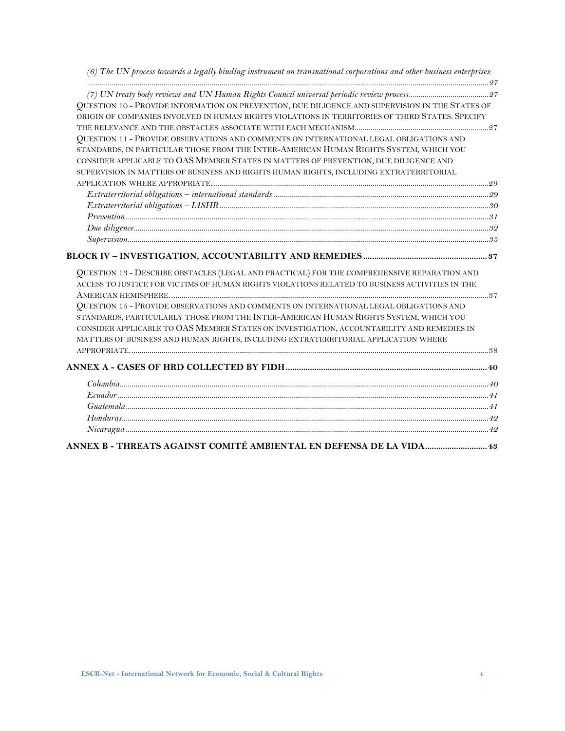*[\(6\) The UN process towards a legally binding instrument on transnational corporations and other business enterprises:](#page-26-0)*

| QUESTION 10 - PROVIDE INFORMATION ON PREVENTION, DUE DILIGENCE AND SUPERVISION IN THE STATES OF |  |
|-------------------------------------------------------------------------------------------------|--|
| ORIGIN OF COMPANIES INVOLVED IN HUMAN RIGHTS VIOLATIONS IN TERRITORIES OF THIRD STATES. SPECIFY |  |
|                                                                                                 |  |
| QUESTION 11 - PROVIDE OBSERVATIONS AND COMMENTS ON INTERNATIONAL LEGAL OBLIGATIONS AND          |  |
| STANDARDS, IN PARTICULAR THOSE FROM THE INTER-AMERICAN HUMAN RIGHTS SYSTEM, WHICH YOU           |  |
| CONSIDER APPLICABLE TO OAS MEMBER STATES IN MATTERS OF PREVENTION, DUE DILIGENCE AND            |  |
| SUPERVISION IN MATTERS OF BUSINESS AND RIGHTS HUMAN RIGHTS, INCLUDING EXTRATERRITORIAL          |  |
|                                                                                                 |  |
|                                                                                                 |  |
|                                                                                                 |  |
|                                                                                                 |  |
|                                                                                                 |  |
|                                                                                                 |  |
|                                                                                                 |  |
| QUESTION 13 - DESCRIBE OBSTACLES (LEGAL AND PRACTICAL) FOR THE COMPREHENSIVE REPARATION AND     |  |
| ACCESS TO JUSTICE FOR VICTIMS OF HUMAN RIGHTS VIOLATIONS RELATED TO BUSINESS ACTIVITIES IN THE  |  |
|                                                                                                 |  |
| QUESTION 15 - PROVIDE OBSERVATIONS AND COMMENTS ON INTERNATIONAL LEGAL OBLIGATIONS AND          |  |
| STANDARDS, PARTICULARLY THOSE FROM THE INTER-AMERICAN HUMAN RIGHTS SYSTEM, WHICH YOU            |  |
| CONSIDER APPLICABLE TO OAS MEMBER STATES ON INVESTIGATION, ACCOUNTABILITY AND REMEDIES IN       |  |
| MATTERS OF BUSINESS AND HUMAN RIGHTS, INCLUDING EXTRATERRITORIAL APPLICATION WHERE              |  |
|                                                                                                 |  |
|                                                                                                 |  |
|                                                                                                 |  |
|                                                                                                 |  |
|                                                                                                 |  |
|                                                                                                 |  |
|                                                                                                 |  |
|                                                                                                 |  |
|                                                                                                 |  |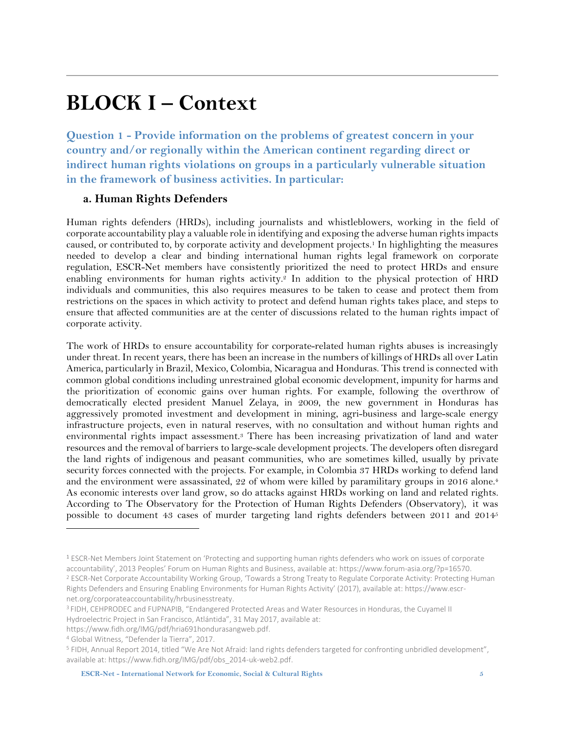### <span id="page-4-0"></span>**BLOCK I – Context**

<span id="page-4-1"></span>**Question 1 - Provide information on the problems of greatest concern in your country and/or regionally within the American continent regarding direct or indirect human rights violations on groups in a particularly vulnerable situation in the framework of business activities. In particular:**

#### <span id="page-4-2"></span>**a. Human Rights Defenders**

Human rights defenders (HRDs), including journalists and whistleblowers, working in the field of corporate accountability play a valuable role in identifying and exposing the adverse human rightsimpacts caused, or contributed to, by corporate activity and development projects.<sup>1</sup> In highlighting the measures needed to develop a clear and binding international human rights legal framework on corporate regulation, ESCR-Net members have consistently prioritized the need to protect HRDs and ensure enabling environments for human rights activity. <sup>2</sup> In addition to the physical protection of HRD individuals and communities, this also requires measures to be taken to cease and protect them from restrictions on the spaces in which activity to protect and defend human rights takes place, and steps to ensure that affected communities are at the center of discussions related to the human rights impact of corporate activity.

The work of HRDs to ensure accountability for corporate-related human rights abuses is increasingly under threat. In recent years, there has been an increase in the numbers of killings of HRDs all over Latin America, particularly in Brazil, Mexico, Colombia, Nicaragua and Honduras. This trend is connected with common global conditions including unrestrained global economic development, impunity for harms and the prioritization of economic gains over human rights. For example, following the overthrow of democratically elected president Manuel Zelaya, in 2009, the new government in Honduras has aggressively promoted investment and development in mining, agri-business and large-scale energy infrastructure projects, even in natural reserves, with no consultation and without human rights and environmental rights impact assessment.<sup>3</sup> There has been increasing privatization of land and water resources and the removal of barriers to large-scale development projects. The developers often disregard the land rights of indigenous and peasant communities, who are sometimes killed, usually by private security forces connected with the projects. For example, in Colombia 37 HRDs working to defend land and the environment were assassinated, 22 of whom were killed by paramilitary groups in 2016 alone. 4 As economic interests over land grow, so do attacks against HRDs working on land and related rights. According to The Observatory for the Protection of Human Rights Defenders (Observatory), it was possible to document 43 cases of murder targeting land rights defenders between 2011 and 2014<sup>5</sup>

<sup>1</sup> ESCR-Net Members Joint Statement on 'Protecting and supporting human rights defenders who work on issues of corporate accountability', 2013 Peoples' Forum on Human Rights and Business, available at: [https://www.forum-asia.org/?p=16570.](https://www.forum-asia.org/?p=16570) <sup>2</sup> ESCR-Net Corporate Accountability Working Group, 'Towards a Strong Treaty to Regulate Corporate Activity: Protecting Human Rights Defenders and Ensuring Enabling Environments for Human Rights Activity' (2017), available at[: https://www.escr-](https://www.escr-net.org/corporateaccountability/hrbusinesstreaty)

[net.org/corporateaccountability/hrbusinesstreaty.](https://www.escr-net.org/corporateaccountability/hrbusinesstreaty)

<sup>3</sup> FIDH, CEHPRODEC and FUPNAPIB, "Endangered Protected Areas and Water Resources in Honduras, the Cuyamel II Hydroelectric Project in San Francisco, Atlántida", 31 May 2017, available at:

[https://www.fidh.org/IMG/pdf/hria691hondurasangweb.pdf.](https://www.fidh.org/IMG/pdf/hria691hondurasangweb.pdf)

<sup>4</sup> Global Witness, "[Defender la Tierra](https://www.globalwitness.org/en/campaigns/environmental-activists/defender-la-tierra/)", 2017.

<sup>5</sup> FIDH, [Annual Report 2014, titled "We Are Not Afraid: land rights defenders targeted for confronting unbridled development"](https://www.fidh.org/IMG/pdf/obs_2014-uk-web2.pdf), available at[: https://www.fidh.org/IMG/pdf/obs\\_2014-uk-web2.pdf.](https://www.fidh.org/IMG/pdf/obs_2014-uk-web2.pdf)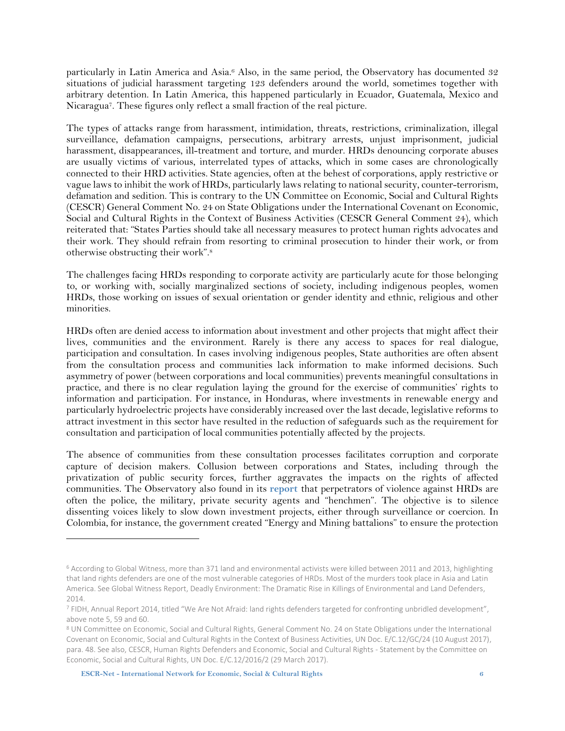particularly in Latin America and Asia. <sup>6</sup> Also, in the same period, the Observatory has documented 32 situations of judicial harassment targeting 123 defenders around the world, sometimes together with arbitrary detention. In Latin America, this happened particularly in Ecuador, Guatemala, Mexico and Nicaragua7. These figures only reflect a small fraction of the real picture.

The types of attacks range from harassment, intimidation, threats, restrictions, criminalization, illegal surveillance, defamation campaigns, persecutions, arbitrary arrests, unjust imprisonment, judicial harassment, disappearances, ill-treatment and torture, and murder. HRDs denouncing corporate abuses are usually victims of various, interrelated types of attacks, which in some cases are chronologically connected to their HRD activities. State agencies, often at the behest of corporations, apply restrictive or vague lawsto inhibit the work of HRDs, particularly laws relating to nationalsecurity, counter-terrorism, defamation and sedition. This is contrary to the UN Committee on Economic, Social and Cultural Rights (CESCR) General Comment No. 24 on State Obligations under the International Covenant on Economic, Social and Cultural Rights in the Context of Business Activities (CESCR General Comment 24), which reiterated that: "States Parties should take all necessary measures to protect human rights advocates and their work. They should refrain from resorting to criminal prosecution to hinder their work, or from otherwise obstructing their work".<sup>8</sup>

The challenges facing HRDs responding to corporate activity are particularly acute for those belonging to, or working with, socially marginalized sections of society, including indigenous peoples, women HRDs, those working on issues of sexual orientation or gender identity and ethnic, religious and other minorities.

HRDs often are denied access to information about investment and other projects that might affect their lives, communities and the environment. Rarely is there any access to spaces for real dialogue, participation and consultation. In cases involving indigenous peoples, State authorities are often absent from the consultation process and communities lack information to make informed decisions. Such asymmetry of power (between corporations and local communities) prevents meaningful consultations in practice, and there is no clear regulation laying the ground for the exercise of communities' rights to information and participation. For instance, in Honduras, where investments in renewable energy and particularly hydroelectric projects have considerably increased over the last decade, legislative reforms to attract investment in this sector have resulted in the reduction of safeguards such as the requirement for consultation and participation of local communities potentially affected by the projects.

The absence of communities from these consultation processes facilitates corruption and corporate capture of decision makers. Collusion between corporations and States, including through the privatization of public security forces, further aggravates the impacts on the rights of affected communities. The Observatory also found in its **[report](https://www.fidh.org/IMG/pdf/obs_2014-uk-web2.pdf)** that perpetrators of violence against HRDs are often the police, the military, private security agents and "henchmen". The objective is to silence dissenting voices likely to slow down investment projects, either through surveillance or coercion. In Colombia, for instance, the government created "Energy and Mining battalions" to ensure the protection

<sup>6</sup> According to Global Witness, more than 371 land and environmental activists were killed between 2011 and 2013, highlighting that land rights defenders are one of the most vulnerable categories of HRDs. Most of the murders took place in Asia and Latin America. See [Global Witness Report,](https://www.globalwitness.org/en/campaigns/environmental-activists/deadly-environment/) Deadly Environment: The Dramatic Rise in Killings of Environmental and Land Defenders, 2014.

<sup>7</sup> FIDH, [Annual Report 2014, titled "We Are Not Afraid: land rights defenders targeted for confronting unbridled development"](https://www.fidh.org/IMG/pdf/obs_2014-uk-web2.pdf), above note 5, 59 and 60.

<sup>8</sup> UN Committee on Economic, Social and Cultural Rights, General Comment No. 24 on State Obligations under the International Covenant on Economic, Social and Cultural Rights in the Context of Business Activities, UN Doc. E/C.12/GC/24 (10 August 2017), para. 48. See also, CESCR, Human Rights Defenders and Economic, Social and Cultural Rights - Statement by the Committee on Economic, Social and Cultural Rights, UN Doc. E/C.12/2016/2 (29 March 2017).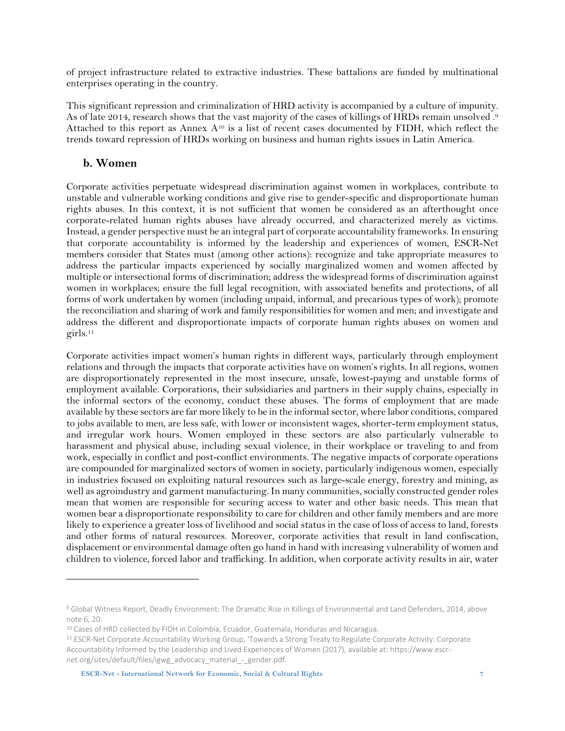of project infrastructure related to extractive industries. These battalions are funded by multinational enterprises operating in the country.

This significant repression and criminalization of HRD activity is accompanied by a culture of impunity. As of late 2014, research shows that the vast majority of the cases of killings of HRDs remain unsolved . 9 Attached to this report as Annex A<sup>10</sup> is a list of recent cases documented by FIDH, which reflect the trends toward repression of HRDs working on business and human rights issues in Latin America.

#### <span id="page-6-0"></span>**b. Women**

 $\overline{a}$ 

Corporate activities perpetuate widespread discrimination against women in workplaces, contribute to unstable and vulnerable working conditions and give rise to gender-specific and disproportionate human rights abuses. In this context, it is not sufficient that women be considered as an afterthought once corporate-related human rights abuses have already occurred, and characterized merely as victims. Instead, a gender perspective must be an integral part of corporate accountability frameworks. In ensuring that corporate accountability is informed by the leadership and experiences of women, ESCR-Net members consider that States must (among other actions): recognize and take appropriate measures to address the particular impacts experienced by socially marginalized women and women affected by multiple or intersectional forms of discrimination; address the widespread forms of discrimination against women in workplaces; ensure the full legal recognition, with associated benefits and protections, of all forms of work undertaken by women (including unpaid, informal, and precarious types of work); promote the reconciliation and sharing of work and family responsibilities for women and men; and investigate and address the different and disproportionate impacts of corporate human rights abuses on women and girls.<sup>11</sup>

Corporate activities impact women's human rights in different ways, particularly through employment relations and through the impacts that corporate activities have on women's rights. In all regions, women are disproportionately represented in the most insecure, unsafe, lowest-paying and unstable forms of employment available. Corporations, their subsidiaries and partners in their supply chains, especially in the informal sectors of the economy, conduct these abuses. The forms of employment that are made available by these sectors are far more likely to be in the informal sector, where labor conditions, compared to jobs available to men, are less safe, with lower or inconsistent wages, shorter-term employment status, and irregular work hours. Women employed in these sectors are also particularly vulnerable to harassment and physical abuse, including sexual violence, in their workplace or traveling to and from work, especially in conflict and post-conflict environments. The negative impacts of corporate operations are compounded for marginalized sectors of women in society, particularly indigenous women, especially in industries focused on exploiting natural resources such as large-scale energy, forestry and mining, as well as agroindustry and garment manufacturing. In many communities, socially constructed gender roles mean that women are responsible for securing access to water and other basic needs. This mean that women bear a disproportionate responsibility to care for children and other family members and are more likely to experience a greater loss of livelihood and social status in the case of loss of access to land, forests and other forms of natural resources. Moreover, corporate activities that result in land confiscation, displacement or environmental damage often go hand in hand with increasing vulnerability of women and children to violence, forced labor and trafficking. In addition, when corporate activity results in air, water

<sup>&</sup>lt;sup>9</sup> [Global Witness Report,](https://www.globalwitness.org/en/campaigns/environmental-activists/deadly-environment/) Deadly Environment: The Dramatic Rise in Killings of Environmental and Land Defenders, 2014, above note 6, 20.

<sup>&</sup>lt;sup>10</sup> Cases of HRD collected by FIDH in Colombia, Ecuador, Guatemala, Honduras and Nicaragua.

<sup>11</sup> ESCR-Net Corporate Accountability Working Group, 'Towards a Strong Treaty to Regulate Corporate Activity: Corporate Accountability Informed by the Leadership and Lived Experiences of Women (2017), available at: https://www.escrnet.org/sites/default/files/igwg\_advocacy\_material\_-\_gender.pdf.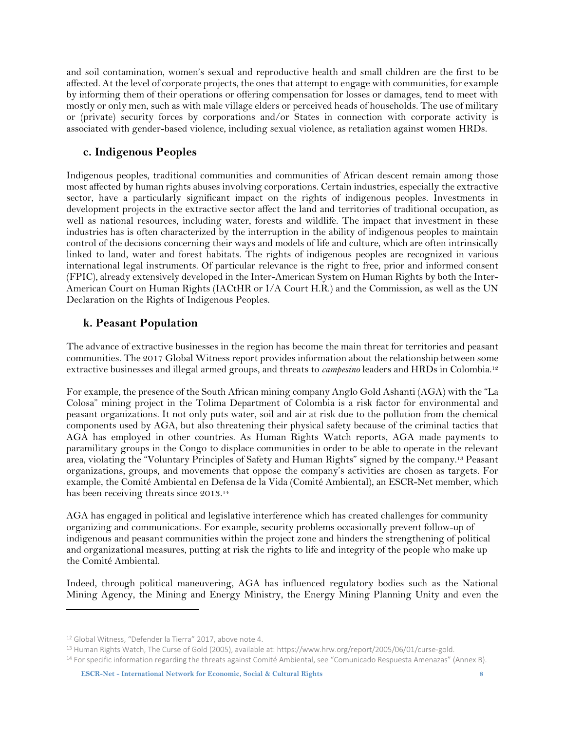and soil contamination, women's sexual and reproductive health and small children are the first to be affected. At the level of corporate projects, the ones that attempt to engage with communities, for example by informing them of their operations or offering compensation for losses or damages, tend to meet with mostly or only men, such as with male village elders or perceived heads of households. The use of military or (private) security forces by corporations and/or States in connection with corporate activity is associated with gender-based violence, including sexual violence, as retaliation against women HRDs.

#### <span id="page-7-0"></span>**c. Indigenous Peoples**

Indigenous peoples, traditional communities and communities of African descent remain among those most affected by human rights abuses involving corporations. Certain industries, especially the extractive sector, have a particularly significant impact on the rights of indigenous peoples. Investments in development projects in the extractive sector affect the land and territories of traditional occupation, as well as national resources, including water, forests and wildlife. The impact that investment in these industries has is often characterized by the interruption in the ability of indigenous peoples to maintain control of the decisions concerning their ways and models of life and culture, which are often intrinsically linked to land, water and forest habitats. The rights of indigenous peoples are recognized in various international legal instruments. Of particular relevance is the right to free, prior and informed consent (FPIC), already extensively developed in the Inter-American System on Human Rights by both the Inter-American Court on Human Rights (IACtHR or I/A Court H.R.) and the Commission, as well as the UN Declaration on the Rights of Indigenous Peoples.

#### <span id="page-7-1"></span>**k. Peasant Population**

The advance of extractive businesses in the region has become the main threat for territories and peasant communities. The 2017 Global Witness report provides information about the relationship between some extractive businesses and illegal armed groups, and threats to *campesino* leaders and HRDs in Colombia.<sup>12</sup>

For example, the presence of the South African mining company Anglo Gold Ashanti (AGA) with the "La Colosa" mining project in the Tolima Department of Colombia is a risk factor for environmental and peasant organizations. It not only puts water, soil and air at risk due to the pollution from the chemical components used by AGA, but also threatening their physical safety because of the criminal tactics that AGA has employed in other countries. As Human Rights Watch reports, AGA made payments to paramilitary groups in the Congo to displace communities in order to be able to operate in the relevant area, violating the "Voluntary Principles of Safety and Human Rights" signed by the company.<sup>13</sup> Peasant organizations, groups, and movements that oppose the company's activities are chosen as targets. For example, the Comité Ambiental en Defensa de la Vida (Comité Ambiental), an ESCR-Net member, which has been receiving threats since 2013.<sup>14</sup>

AGA has engaged in political and legislative interference which has created challenges for community organizing and communications. For example, security problems occasionally prevent follow-up of indigenous and peasant communities within the project zone and hinders the strengthening of political and organizational measures, putting at risk the rights to life and integrity of the people who make up the Comité Ambiental.

Indeed, through political maneuvering, AGA has influenced regulatory bodies such as the National Mining Agency, the Mining and Energy Ministry, the Energy Mining Planning Unity and even the

<sup>12</sup> Global Witness, ["Defender la Tierra"](https://www.globalwitness.org/en/campaigns/environmental-activists/defender-la-tierra/) 2017, above note 4.

<sup>13</sup> Human Rights Watch, The Curse of Gold (2005), available at[: https://www.hrw.org/report/2005/06/01/curse-gold.](https://www.hrw.org/report/2005/06/01/curse-gold)

<sup>&</sup>lt;sup>14</sup> For specific information regarding the threats against Comité Ambiental, see "Comunicado Respuesta Amenazas" (Annex B).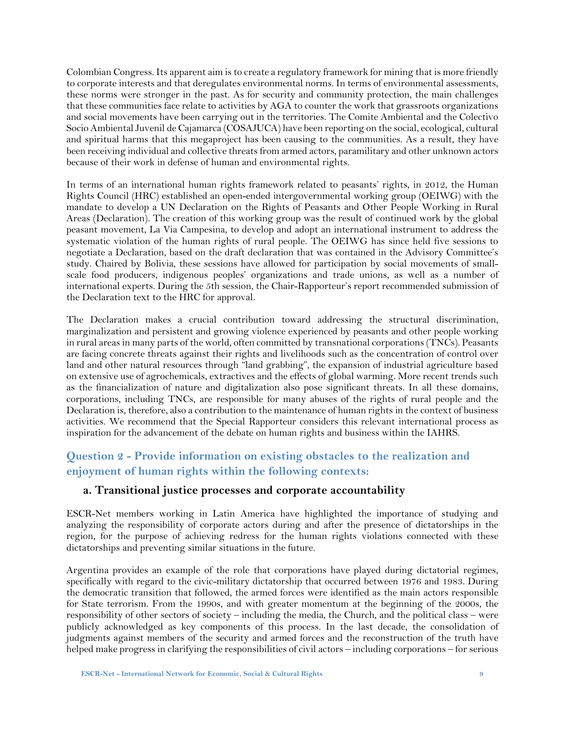Colombian Congress. Its apparent aim isto create a regulatory framework for mining that is more friendly to corporate interests and that deregulates environmental norms. In terms of environmental assessments, these norms were stronger in the past. As for security and community protection, the main challenges that these communities face relate to activities by AGA to counter the work that grassroots organizations and social movements have been carrying out in the territories. The Comite Ambiental and the Colectivo Socio Ambiental Juvenil de Cajamarca (COSAJUCA) have been reporting on the social, ecological, cultural and spiritual harms that this megaproject has been causing to the communities. As a result, they have been receiving individual and collective threats from armed actors, paramilitary and other unknown actors because of their work in defense of human and environmental rights.

In terms of an international human rights framework related to peasants' rights, in 2012, the Human Rights Council (HRC) established an open-ended intergovernmental working group (OEIWG) with the mandate to develop a UN Declaration on the Rights of Peasants and Other People Working in Rural Areas (Declaration). The creation of this working group was the result of continued work by the global peasant movement, La Via Campesina, to develop and adopt an international instrument to address the systematic violation of the human rights of rural people. The OEIWG has since held five sessions to negotiate a Declaration, based on the draft declaration that was contained in the Advisory Committee's study. Chaired by Bolivia, these sessions have allowed for participation by social movements of smallscale food producers, indigenous peoples' organizations and trade unions, as well as a number of international experts. During the 5th session, the Chair-Rapporteur's report recommended submission of the Declaration text to the HRC for approval.

The Declaration makes a crucial contribution toward addressing the structural discrimination, marginalization and persistent and growing violence experienced by peasants and other people working in rural areasin many parts of the world, often committed by transnational corporations(TNCs). Peasants are facing concrete threats against their rights and livelihoods such as the concentration of control over land and other natural resources through "land grabbing", the expansion of industrial agriculture based on extensive use of agrochemicals, extractives and the effects of global warming. More recent trends such as the financialization of nature and digitalization also pose significant threats. In all these domains, corporations, including TNCs, are responsible for many abuses of the rights of rural people and the Declaration is, therefore, also a contribution to the maintenance of human rights in the context of business activities. We recommend that the Special Rapporteur considers this relevant international process as inspiration for the advancement of the debate on human rights and business within the IAHRS.

#### <span id="page-8-0"></span>**Question 2 - Provide information on existing obstacles to the realization and enjoyment of human rights within the following contexts:**

#### <span id="page-8-1"></span>**a. Transitional justice processes and corporate accountability**

ESCR-Net members working in Latin America have highlighted the importance of studying and analyzing the responsibility of corporate actors during and after the presence of dictatorships in the region, for the purpose of achieving redress for the human rights violations connected with these dictatorships and preventing similar situations in the future.

Argentina provides an example of the role that corporations have played during dictatorial regimes, specifically with regard to the civic-military dictatorship that occurred between 1976 and 1983. During the democratic transition that followed, the armed forces were identified as the main actors responsible for State terrorism. From the 1990s, and with greater momentum at the beginning of the 2000s, the responsibility of other sectors of society – including the media, the Church, and the political class – were publicly acknowledged as key components of this process. In the last decade, the consolidation of judgments against members of the security and armed forces and the reconstruction of the truth have helped make progress in clarifying the responsibilities of civil actors – including corporations – for serious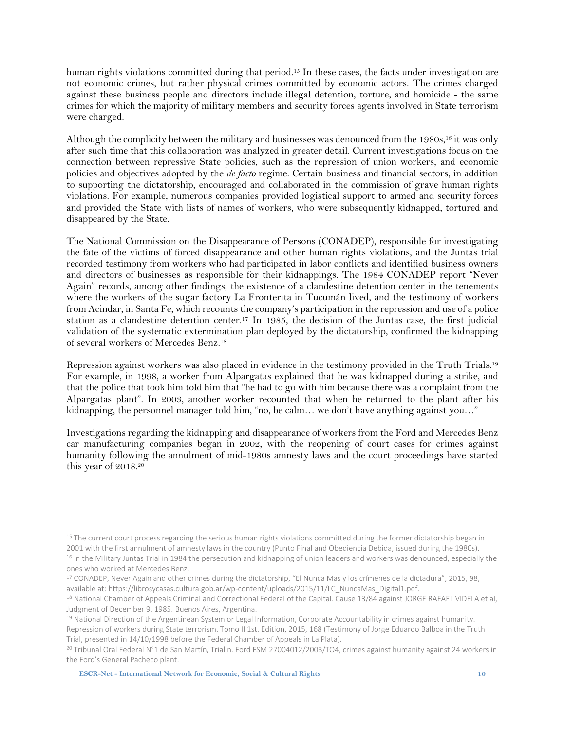human rights violations committed during that period. <sup>15</sup> In these cases, the facts under investigation are not economic crimes, but rather physical crimes committed by economic actors. The crimes charged against these business people and directors include illegal detention, torture, and homicide - the same crimes for which the majority of military members and security forces agents involved in State terrorism were charged.

Although the complicity between the military and businesses was denounced from the 1980s, <sup>16</sup> it was only after such time that this collaboration was analyzed in greater detail. Current investigations focus on the connection between repressive State policies, such as the repression of union workers, and economic policies and objectives adopted by the *de facto* regime. Certain business and financial sectors, in addition to supporting the dictatorship, encouraged and collaborated in the commission of grave human rights violations. For example, numerous companies provided logistical support to armed and security forces and provided the State with lists of names of workers, who were subsequently kidnapped, tortured and disappeared by the State.

The National Commission on the Disappearance of Persons (CONADEP), responsible for investigating the fate of the victims of forced disappearance and other human rights violations, and the Juntas trial recorded testimony from workers who had participated in labor conflicts and identified business owners and directors of businesses as responsible for their kidnappings. The 1984 CONADEP report "Never Again" records, among other findings, the existence of a clandestine detention center in the tenements where the workers of the sugar factory La Fronterita in Tucumán lived, and the testimony of workers from Acindar, in Santa Fe, which recounts the company's participation in the repression and use of a police station as a clandestine detention center.<sup>17</sup> In 1985, the decision of the Juntas case, the first judicial validation of the systematic extermination plan deployed by the dictatorship, confirmed the kidnapping of several workers of Mercedes Benz.<sup>18</sup>

Repression against workers was also placed in evidence in the testimony provided in the Truth Trials.<sup>19</sup> For example, in 1998, a worker from Alpargatas explained that he was kidnapped during a strike, and that the police that took him told him that "he had to go with him because there was a complaint from the Alpargatas plant". In 2003, another worker recounted that when he returned to the plant after his kidnapping, the personnel manager told him, "no, be calm... we don't have anything against you..."

Investigations regarding the kidnapping and disappearance of workers from the Ford and Mercedes Benz car manufacturing companies began in 2002, with the reopening of court cases for crimes against humanity following the annulment of mid-1980s amnesty laws and the court proceedings have started this year of 2018. 20

<sup>&</sup>lt;sup>15</sup> The current court process regarding the serious human rights violations committed during the former dictatorship began in 2001 with the first annulment of amnesty laws in the country (Punto Final and Obediencia Debida, issued during the 1980s). <sup>16</sup> In the Military Juntas Trial in 1984 the persecution and kidnapping of union leaders and workers was denounced, especially the ones who worked at Mercedes Benz.

<sup>17</sup> CONADEP, Never Again and other crimes during the dictatorship, "El Nunca Mas y los crímenes de la dictadura", 2015, 98, available at[: https://librosycasas.cultura.gob.ar/wp-content/uploads/2015/11/LC\\_NuncaMas\\_Digital1.pdf.](https://librosycasas.cultura.gob.ar/wp-content/uploads/2015/11/LC_NuncaMas_Digital1.pdf) 

<sup>&</sup>lt;sup>18</sup> National Chamber of Appeals Criminal and Correctional Federal of the Capital. Cause 13/84 against JORGE RAFAEL VIDELA et al, Judgment of December 9, 1985. Buenos Aires, Argentina.

<sup>&</sup>lt;sup>19</sup> National Direction of the Argentinean System or Legal Information, Corporate Accountability in crimes against humanity. Repression of workers during State terrorism. Tomo II 1st. Edition, 2015, 168 (Testimony of Jorge Eduardo Balboa in the Truth Trial, presented in 14/10/1998 before the Federal Chamber of Appeals in La Plata).

<sup>20</sup> Tribunal Oral Federal N°1 de San Martín, Trial n. Ford FSM 27004012/2003/TO4, crimes against humanity against 24 workers in the Ford's General Pacheco plant.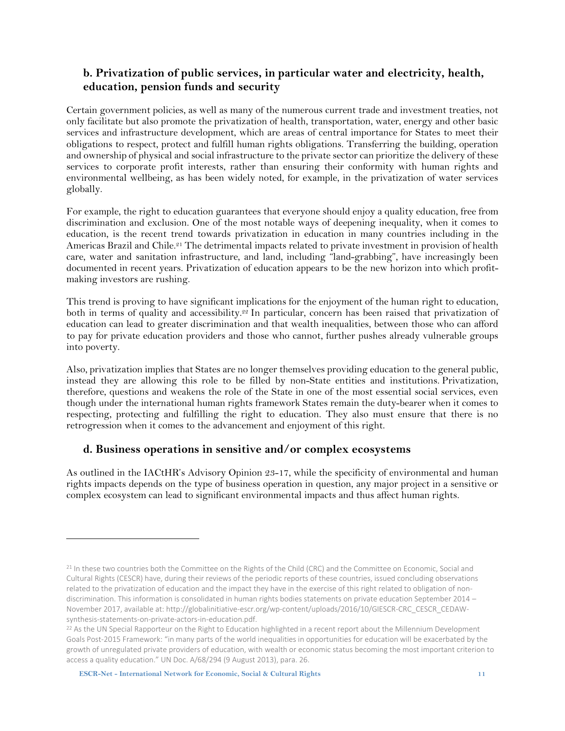#### <span id="page-10-0"></span>**b. Privatization of public services, in particular water and electricity, health, education, pension funds and security**

Certain government policies, as well as many of the numerous current trade and investment treaties, not only facilitate but also promote the privatization of health, transportation, water, energy and other basic services and infrastructure development, which are areas of central importance for States to meet their obligations to respect, protect and fulfill human rights obligations. Transferring the building, operation and ownership of physical and social infrastructure to the private sector can prioritize the delivery of these services to corporate profit interests, rather than ensuring their conformity with human rights and environmental wellbeing, as has been widely noted, for example, in the privatization of water services globally.

For example, the right to education guarantees that everyone should enjoy a quality education, free from discrimination and exclusion. One of the most notable ways of deepening inequality, when it comes to education, is the recent trend towards privatization in education in many countries including in the Americas Brazil and Chile.<sup>21</sup> The detrimental impacts related to private investment in provision of health care, water and sanitation infrastructure, and land, including "land-grabbing", have increasingly been documented in recent years. Privatization of education appears to be the new horizon into which profitmaking investors are rushing.

This trend is proving to have significant implications for the enjoyment of the human right to education, both in terms of quality and accessibility. <sup>22</sup> In particular, concern has been raised that privatization of education can lead to greater discrimination and that wealth inequalities, between those who can afford to pay for private education providers and those who cannot, further pushes already vulnerable groups into poverty.

Also, privatization implies that States are no longer themselves providing education to the general public, instead they are allowing this role to be filled by non-State entities and institutions. Privatization, therefore, questions and weakens the role of the State in one of the most essential social services, even though under the international human rights framework States remain the duty-bearer when it comes to respecting, protecting and fulfilling the right to education. They also must ensure that there is no retrogression when it comes to the advancement and enjoyment of this right.

#### <span id="page-10-1"></span>**d. Business operations in sensitive and/or complex ecosystems**

As outlined in the IACtHR's Advisory Opinion 23-17, while the specificity of environmental and human rights impacts depends on the type of business operation in question, any major project in a sensitive or complex ecosystem can lead to significant environmental impacts and thus affect human rights.

<sup>&</sup>lt;sup>21</sup> In these two countries both the Committee on the Rights of the Child (CRC) and the Committee on Economic, Social and Cultural Rights (CESCR) have, during their reviews of the periodic reports of these countries, issued concluding observations related to the privatization of education and the impact they have in the exercise of this right related to obligation of nondiscrimination. This information is consolidated in human rights bodies statements on private education September 2014 – November 2017, available at[: http://globalinitiative-escr.org/wp-content/uploads/2016/10/GIESCR-CRC\\_CESCR\\_CEDAW](http://globalinitiative-escr.org/wp-content/uploads/2016/10/GIESCR-CRC_CESCR_CEDAW-synthesis-statements-on-private-actors-in-education.pdf)[synthesis-statements-on-private-actors-in-education.pdf.](http://globalinitiative-escr.org/wp-content/uploads/2016/10/GIESCR-CRC_CESCR_CEDAW-synthesis-statements-on-private-actors-in-education.pdf)

<sup>&</sup>lt;sup>22</sup> As the UN Special Rapporteur on the Right to Education highlighted in a recent report about the Millennium Development Goals Post-2015 Framework: "in many parts of the world inequalities in opportunities for education will be exacerbated by the growth of unregulated private providers of education, with wealth or economic status becoming the most important criterion to access a quality education." UN Doc. A/68/294 (9 August 2013), para. 26.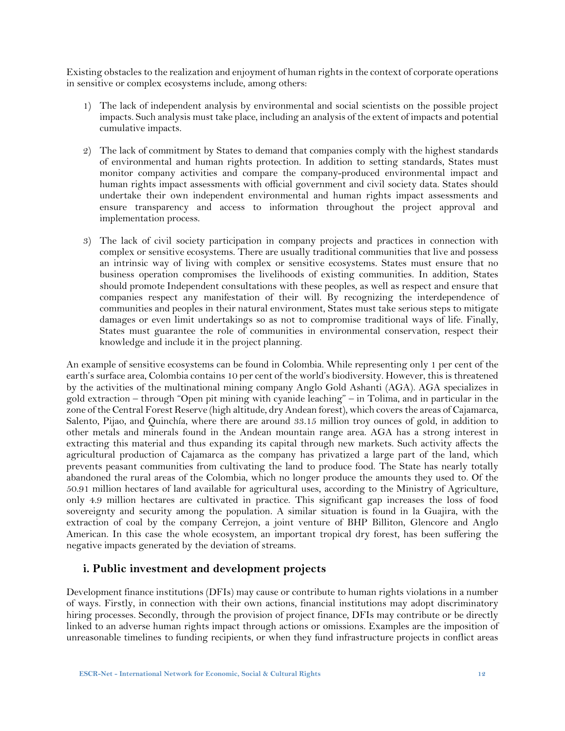Existing obstacles to the realization and enjoyment of human rights in the context of corporate operations in sensitive or complex ecosystems include, among others:

- 1) The lack of independent analysis by environmental and social scientists on the possible project impacts. Such analysis must take place, including an analysis of the extent of impacts and potential cumulative impacts.
- 2) The lack of commitment by States to demand that companies comply with the highest standards of environmental and human rights protection. In addition to setting standards, States must monitor company activities and compare the company-produced environmental impact and human rights impact assessments with official government and civil society data. States should undertake their own independent environmental and human rights impact assessments and ensure transparency and access to information throughout the project approval and implementation process.
- 3) The lack of civil society participation in company projects and practices in connection with complex or sensitive ecosystems. There are usually traditional communities that live and possess an intrinsic way of living with complex or sensitive ecosystems. States must ensure that no business operation compromises the livelihoods of existing communities. In addition, States should promote Independent consultations with these peoples, as well as respect and ensure that companies respect any manifestation of their will. By recognizing the interdependence of communities and peoples in their natural environment, States must take serious steps to mitigate damages or even limit undertakings so as not to compromise traditional ways of life. Finally, States must guarantee the role of communities in environmental conservation, respect their knowledge and include it in the project planning.

An example of sensitive ecosystems can be found in Colombia. While representing only 1 per cent of the earth's surface area, Colombia contains 10 per cent of the world's biodiversity. However, this is threatened by the activities of the multinational mining company Anglo Gold Ashanti (AGA). AGA specializes in gold extraction – through "Open pit mining with cyanide leaching" – in Tolima, and in particular in the zone of the Central Forest Reserve (high altitude, dry Andean forest), which covers the areas of Cajamarca, Salento, Pijao, and Quinchía, where there are around 33.15 million troy ounces of gold, in addition to other metals and minerals found in the Andean mountain range area. AGA has a strong interest in extracting this material and thus expanding its capital through new markets. Such activity affects the agricultural production of Cajamarca as the company has privatized a large part of the land, which prevents peasant communities from cultivating the land to produce food. The State has nearly totally abandoned the rural areas of the Colombia, which no longer produce the amounts they used to. Of the 50.91 million hectares of land available for agricultural uses, according to the Ministry of Agriculture, only 4.9 million hectares are cultivated in practice. This significant gap increases the loss of food sovereignty and security among the population. A similar situation is found in la Guajira, with the extraction of coal by the company Cerrejon, a joint venture of BHP Billiton, Glencore and Anglo American. In this case the whole ecosystem, an important tropical dry forest, has been suffering the negative impacts generated by the deviation of streams.

#### <span id="page-11-0"></span>**i. Public investment and development projects**

Development finance institutions (DFIs) may cause or contribute to human rights violations in a number of ways. Firstly, in connection with their own actions, financial institutions may adopt discriminatory hiring processes. Secondly, through the provision of project finance, DFIs may contribute or be directly linked to an adverse human rights impact through actions or omissions. Examples are the imposition of unreasonable timelines to funding recipients, or when they fund infrastructure projects in conflict areas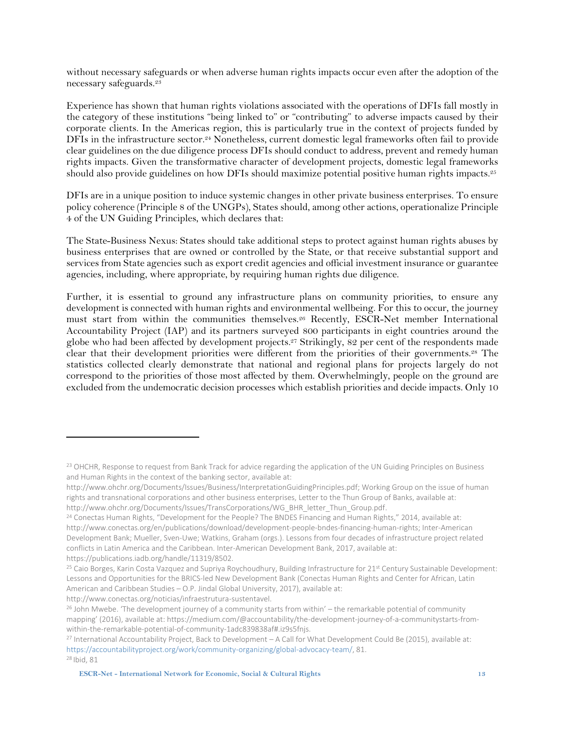without necessary safeguards or when adverse human rights impacts occur even after the adoption of the necessary safeguards. 23

Experience has shown that human rights violations associated with the operations of DFIs fall mostly in the category of these institutions "being linked to" or "contributing" to adverse impacts caused by their corporate clients. In the Americas region, this is particularly true in the context of projects funded by DFIs in the infrastructure sector. <sup>24</sup> Nonetheless, current domestic legal frameworks often fail to provide clear guidelines on the due diligence process DFIs should conduct to address, prevent and remedy human rights impacts. Given the transformative character of development projects, domestic legal frameworks should also provide guidelines on how DFIs should maximize potential positive human rights impacts. 25

DFIs are in a unique position to induce systemic changes in other private business enterprises. To ensure policy coherence (Principle 8 of the UNGPs), States should, among other actions, operationalize Principle 4 of the UN Guiding Principles, which declares that:

The State-Business Nexus: States should take additional steps to protect against human rights abuses by business enterprises that are owned or controlled by the State, or that receive substantial support and services from State agencies such as export credit agencies and official investment insurance or guarantee agencies, including, where appropriate, by requiring human rights due diligence.

Further, it is essential to ground any infrastructure plans on community priorities, to ensure any development is connected with human rights and environmental wellbeing. For this to occur, the journey must start from within the communities themselves. <sup>26</sup> Recently, ESCR-Net member International Accountability Project (IAP) and its partners surveyed 800 participants in eight countries around the globe who had been affected by development projects.<sup>27</sup> Strikingly, 82 per cent of the respondents made clear that their development priorities were different from the priorities of their governments. <sup>28</sup> The statistics collected clearly demonstrate that national and regional plans for projects largely do not correspond to the priorities of those most affected by them. Overwhelmingly, people on the ground are excluded from the undemocratic decision processes which establish priorities and decide impacts. Only 10

http://www.conectas.org/noticias/infraestrutura-sustentavel.

<sup>&</sup>lt;sup>23</sup> OHCHR, Response to request from Bank Track for advice regarding the application of the UN Guiding Principles on Business and Human Rights in the context of the banking sector, available at:

[http://www.ohchr.org/Documents/Issues/Business/InterpretationGuidingPrinciples.pdf;](http://www.ohchr.org/Documents/Issues/Business/InterpretationGuidingPrinciples.pdf) Working Group on the issue of human rights and transnational corporations and other business enterprises, Letter to the Thun Group of Banks, available at: [http://www.ohchr.org/Documents/Issues/TransCorporations/WG\\_BHR\\_letter\\_Thun\\_Group.pdf.](http://www.ohchr.org/Documents/Issues/TransCorporations/WG_BHR_letter_Thun_Group.pdf)

<sup>&</sup>lt;sup>24</sup> Conectas Human Rights, "Development for the People? The BNDES Financing and Human Rights," 2014, available a[t:](http://www.conectas.org/en/publications/download/development-people-bndes-financing-human-rights) [http://www.conectas.org/en/publications/download/development-people-bndes-financing-human-rights;](http://www.conectas.org/en/publications/download/development-people-bndes-financing-human-rights) Inter-American Development Bank; Mueller, Sven-Uwe; Watkins, Graham (orgs.). Lessons from four decades of infrastructure project related conflicts in Latin America and the Caribbean. Inter-American Development Bank, 2017, available a[t:](file:///C:/Users/Alexandra/Desktop/%3chttps:/publications.iadb.org/handle/11319/8502%3e) [https://publications.iadb.org/handle/11319/8502.](file:///C:/Users/Alexandra/Desktop/%3chttps:/publications.iadb.org/handle/11319/8502%3e)

<sup>&</sup>lt;sup>25</sup> Caio Borges, Karin Costa Vazquez and Supriya Roychoudhury, Building Infrastructure for 21<sup>st</sup> Century Sustainable Development: Lessons and Opportunities for the BRICS-led New Development Bank (Conectas Human Rights and Center for African, Latin American and Caribbean Studies – O.P. Jindal Global University, 2017), available at:

<sup>&</sup>lt;sup>26</sup> John Mwebe. 'The development journey of a community starts from within' – the remarkable potential of community mapping' (2016), available at: https://medium.com/@accountability/the-development-journey-of-a-communitystarts-fromwithin-the-remarkable-potential-of-community-1adc839838af#.iz9s5fnjs.

<sup>27</sup> International Accountability Project, Back to Development – A Call for What Development Could Be (2015), available at: [https://accountabilityproject.org/work/community-organizing/global-advocacy-team/,](https://accountabilityproject.org/work/community-organizing/global-advocacy-team/) 81. <sup>28</sup> Ibid, 81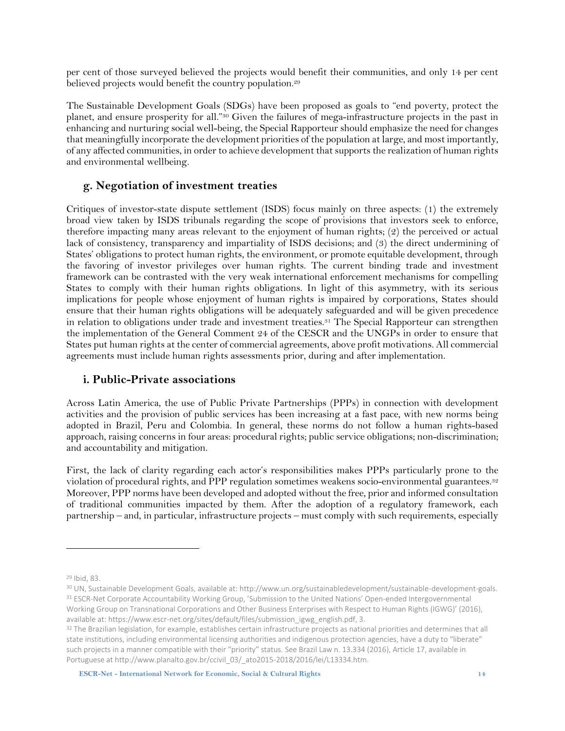per cent of those surveyed believed the projects would benefit their communities, and only 14 per cent believed projects would benefit the country population.<sup>29</sup>

The Sustainable Development Goals (SDGs) have been proposed as goals to "end poverty, protect the planet, and ensure prosperity for all."<sup>30</sup> Given the failures of mega-infrastructure projects in the past in enhancing and nurturing social well-being, the Special Rapporteur should emphasize the need for changes that meaningfully incorporate the development priorities of the population at large, and most importantly, of any affected communities, in order to achieve development that supports the realization of human rights and environmental wellbeing.

#### <span id="page-13-0"></span>**g. Negotiation of investment treaties**

Critiques of investor-state dispute settlement (ISDS) focus mainly on three aspects: (1) the extremely broad view taken by ISDS tribunals regarding the scope of provisions that investors seek to enforce, therefore impacting many areas relevant to the enjoyment of human rights; (2) the perceived or actual lack of consistency, transparency and impartiality of ISDS decisions; and (3) the direct undermining of States' obligations to protect human rights, the environment, or promote equitable development, through the favoring of investor privileges over human rights. The current binding trade and investment framework can be contrasted with the very weak international enforcement mechanisms for compelling States to comply with their human rights obligations. In light of this asymmetry, with its serious implications for people whose enjoyment of human rights is impaired by corporations, States should ensure that their human rights obligations will be adequately safeguarded and will be given precedence in relation to obligations under trade and investment treaties.<sup>31</sup> The Special Rapporteur can strengthen the implementation of the General Comment 24 of the CESCR and the UNGPs in order to ensure that States put human rights at the center of commercial agreements, above profit motivations. All commercial agreements must include human rights assessments prior, during and after implementation.

#### <span id="page-13-1"></span>**i. Public-Private associations**

Across Latin America, the use of Public Private Partnerships (PPPs) in connection with development activities and the provision of public services has been increasing at a fast pace, with new norms being adopted in Brazil, Peru and Colombia. In general, these norms do not follow a human rights-based approach, raising concerns in four areas: procedural rights; public service obligations; non-discrimination; and accountability and mitigation.

First, the lack of clarity regarding each actor's responsibilities makes PPPs particularly prone to the violation of procedural rights, and PPP regulation sometimes weakens socio-environmental guarantees.<sup>32</sup> Moreover, PPP norms have been developed and adopted without the free, prior and informed consultation of traditional communities impacted by them. After the adoption of a regulatory framework, each partnership – and, in particular, infrastructure projects – must comply with such requirements, especially

<sup>29</sup> Ibid, 83.

<sup>30</sup> UN, Sustainable Development Goals, available at: http://www.un.org/sustainabledevelopment/sustainable-development-goals. <sup>31</sup> ESCR-Net Corporate Accountability Working Group, 'Submission to the United Nations' Open-ended Intergovernmental Working Group on Transnational Corporations and Other Business Enterprises with Respect to Human Rights (IGWG)' (2016), available at: https://www.escr-net.org/sites/default/files/submission\_igwg\_english.pdf, 3.

<sup>32</sup> The Brazilian legislation, for example, establishes certain infrastructure projects as national priorities and determines that all state institutions, including environmental licensing authorities and indigenous protection agencies, have a duty to "liberate" such projects in a manner compatible with their "priority" status. See Brazil Law n. 13.334 (2016), Article 17, available in Portuguese a[t http://www.planalto.gov.br/ccivil\\_03/\\_ato2015-2018/2016/lei/L13334.htm.](http://www.planalto.gov.br/ccivil_03/_ato2015-2018/2016/lei/L13334.htm)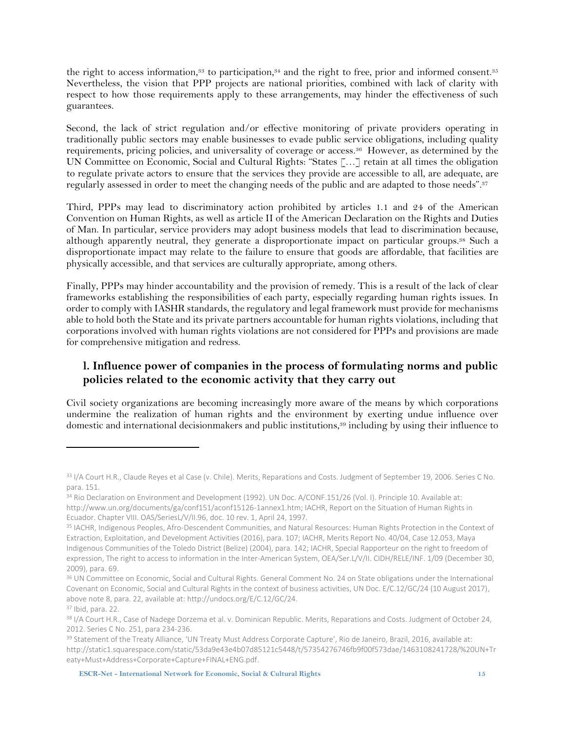the right to access information,<sup>33</sup> to participation,<sup>34</sup> and the right to free, prior and informed consent.<sup>35</sup> Nevertheless, the vision that PPP projects are national priorities, combined with lack of clarity with respect to how those requirements apply to these arrangements, may hinder the effectiveness of such guarantees.

Second, the lack of strict regulation and/or effective monitoring of private providers operating in traditionally public sectors may enable businesses to evade public service obligations, including quality requirements, pricing policies, and universality of coverage or access. <sup>36</sup> However, as determined by the UN Committee on Economic, Social and Cultural Rights: "States […] retain at all times the obligation to regulate private actors to ensure that the services they provide are accessible to all, are adequate, are regularly assessed in order to meet the changing needs of the public and are adapted to those needs". 37

Third, PPPs may lead to discriminatory action prohibited by articles 1.1 and 24 of the American Convention on Human Rights, as well as article II of the American Declaration on the Rights and Duties of Man. In particular, service providers may adopt business models that lead to discrimination because, although apparently neutral, they generate a disproportionate impact on particular groups. <sup>38</sup> Such a disproportionate impact may relate to the failure to ensure that goods are affordable, that facilities are physically accessible, and that services are culturally appropriate, among others.

Finally, PPPs may hinder accountability and the provision of remedy. This is a result of the lack of clear frameworks establishing the responsibilities of each party, especially regarding human rights issues. In order to comply with IASHR standards, the regulatory and legal framework must provide for mechanisms able to hold both the State and its private partners accountable for human rights violations, including that corporations involved with human rights violations are not considered for PPPs and provisions are made for comprehensive mitigation and redress.

#### <span id="page-14-0"></span>**l. Influence power of companies in the process of formulating norms and public policies related to the economic activity that they carry out**

Civil society organizations are becoming increasingly more aware of the means by which corporations undermine the realization of human rights and the environment by exerting undue influence over domestic and international decisionmakers and public institutions, <sup>39</sup> including by using their influence to

 $\overline{a}$ 

**ESCR-Net - International Network for Economic, Social & Cultural Rights 15**

<sup>33</sup> I/A Court H.R., Claude Reyes et al Case (v. Chile). Merits, Reparations and Costs. Judgment of September 19, 2006. Series C No. para. 151.

<sup>&</sup>lt;sup>34</sup> Rio Declaration on Environment and Development (1992). UN Doc. A/CONF.151/26 (Vol. I). Principle 10. Available at: [http://www.un.org/documents/ga/conf151/aconf15126-1annex1.htm;](http://www.un.org/documents/ga/conf151/aconf15126-1annex1.htm) IACHR, Report on the Situation of Human Rights in Ecuador. Chapter VIII. OAS/SeriesL/V/II.96, doc. 10 rev. 1, April 24, 1997.

<sup>35</sup> IACHR, Indigenous Peoples, Afro-Descendent Communities, and Natural Resources: Human Rights Protection in the Context of Extraction, Exploitation, and Development Activities (2016), para. 107; IACHR, Merits Report No. 40/04, Case 12.053, Maya Indigenous Communities of the Toledo District (Belize) (2004), para. 142; IACHR, Special Rapporteur on the right to freedom of expression, The right to access to information in the Inter-American System, OEA/Ser.L/V/II. CIDH/RELE/INF. 1/09 (December 30, 2009), para. 69.

<sup>&</sup>lt;sup>36</sup> UN Committee on Economic, Social and Cultural Rights. General Comment No. 24 on State obligations under the International Covenant on Economic, Social and Cultural Rights in the context of business activities, UN Doc. E/C.12/GC/24 (10 August 2017), above note 8, para. 22, available at: [http://undocs.org/E/C.12/GC/24.](http://undocs.org/E/C.12/GC/24)

<sup>37</sup> Ibid, para. 22.

<sup>&</sup>lt;sup>38</sup> I/A Court H.R., Case of Nadege Dorzema et al. v. Dominican Republic. Merits, Reparations and Costs. Judgment of October 24, 2012. Series C No. 251, para 234-236.

<sup>&</sup>lt;sup>39</sup> Statement of the Treaty Alliance, 'UN Treaty Must Address Corporate Capture', Rio de Janeiro, Brazil, 2016, available at: [http://static1.squarespace.com/static/53da9e43e4b07d85121c5448/t/57354276746fb9f00f573dae/1463108241728/%20UN+Tr](http://static1.squarespace.com/static/53da9e43e4b07d85121c5448/t/57354276746fb9f00f573dae/1463108241728/%20UN+Treaty+Must+Address+Corporate+Capture+FINAL+ENG.pdf) [eaty+Must+Address+Corporate+Capture+FINAL+ENG.pdf.](http://static1.squarespace.com/static/53da9e43e4b07d85121c5448/t/57354276746fb9f00f573dae/1463108241728/%20UN+Treaty+Must+Address+Corporate+Capture+FINAL+ENG.pdf)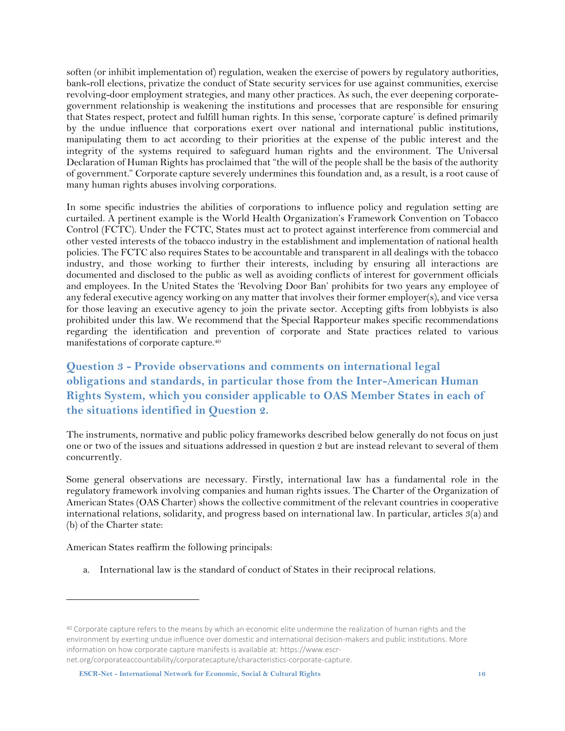soften (or inhibit implementation of) regulation, weaken the exercise of powers by regulatory authorities, bank-roll elections, privatize the conduct of State security services for use against communities, exercise revolving-door employment strategies, and many other practices. As such, the ever deepening corporategovernment relationship is weakening the institutions and processes that are responsible for ensuring that States respect, protect and fulfill human rights. In this sense, 'corporate capture' is defined primarily by the undue influence that corporations exert over national and international public institutions, manipulating them to act according to their priorities at the expense of the public interest and the integrity of the systems required to safeguard human rights and the environment. The Universal Declaration of Human Rights has proclaimed that "the will of the people shall be the basis of the authority of government." Corporate capture severely undermines this foundation and, as a result, is a root cause of many human rights abuses involving corporations.

In some specific industries the abilities of corporations to influence policy and regulation setting are curtailed. A pertinent example is the World Health Organization's Framework Convention on Tobacco Control (FCTC). Under the FCTC, States must act to protect against interference from commercial and other vested interests of the tobacco industry in the establishment and implementation of national health policies. The FCTC also requires States to be accountable and transparent in all dealings with the tobacco industry, and those working to further their interests, including by ensuring all interactions are documented and disclosed to the public as well as avoiding conflicts of interest for government officials and employees. In the United States the 'Revolving Door Ban' prohibits for two years any employee of any federal executive agency working on any matter that involves their former employer(s), and vice versa for those leaving an executive agency to join the private sector. Accepting gifts from lobbyists is also prohibited under this law. We recommend that the Special Rapporteur makes specific recommendations regarding the identification and prevention of corporate and State practices related to various manifestations of corporate capture.<sup>40</sup>

<span id="page-15-0"></span>**Question 3 - Provide observations and comments on international legal obligations and standards, in particular those from the Inter-American Human Rights System, which you consider applicable to OAS Member States in each of the situations identified in Question 2.**

The instruments, normative and public policy frameworks described below generally do not focus on just one or two of the issues and situations addressed in question 2 but are instead relevant to several of them concurrently.

Some general observations are necessary. Firstly, international law has a fundamental role in the regulatory framework involving companies and human rights issues. The Charter of the Organization of American States (OAS Charter) shows the collective commitment of the relevant countries in cooperative international relations, solidarity, and progress based on international law. In particular, articles 3(a) and (b) of the Charter state:

American States reaffirm the following principals:

 $\overline{a}$ 

a. International law is the standard of conduct of States in their reciprocal relations.

<sup>&</sup>lt;sup>40</sup> Corporate capture refers to the means by which an economic elite undermine the realization of human rights and the environment by exerting undue influence over domestic and international decision-makers and public institutions. More information on how corporate capture manifests is available at[: https://www.escr](https://www.escr-net.org/corporateaccountability/corporatecapture/characteristics-corporate-capture)[net.org/corporateaccountability/corporatecapture/characteristics-corporate-capture.](https://www.escr-net.org/corporateaccountability/corporatecapture/characteristics-corporate-capture)

**ESCR-Net - International Network for Economic, Social & Cultural Rights 16**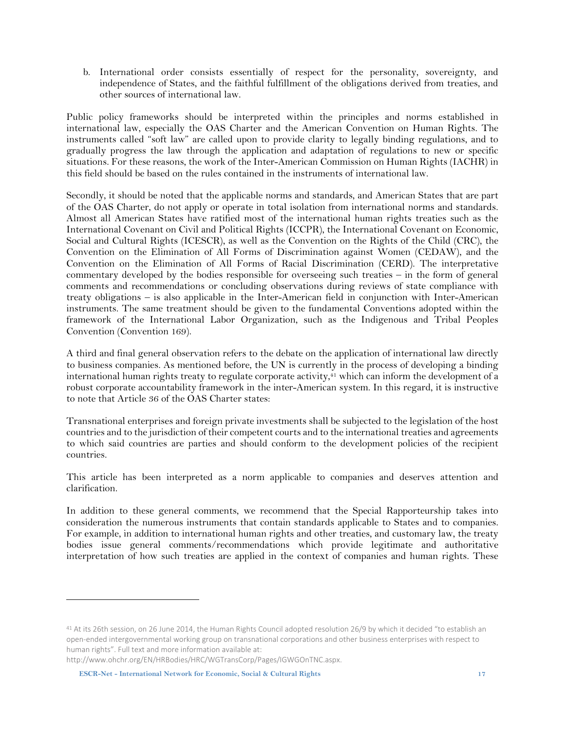b. International order consists essentially of respect for the personality, sovereignty, and independence of States, and the faithful fulfillment of the obligations derived from treaties, and other sources of international law.

Public policy frameworks should be interpreted within the principles and norms established in international law, especially the OAS Charter and the American Convention on Human Rights. The instruments called "soft law" are called upon to provide clarity to legally binding regulations, and to gradually progress the law through the application and adaptation of regulations to new or specific situations. For these reasons, the work of the Inter-American Commission on Human Rights (IACHR) in this field should be based on the rules contained in the instruments of international law.

Secondly, it should be noted that the applicable norms and standards, and American States that are part of the OAS Charter, do not apply or operate in total isolation from international norms and standards. Almost all American States have ratified most of the international human rights treaties such as the International Covenant on Civil and Political Rights (ICCPR), the International Covenant on Economic, Social and Cultural Rights (ICESCR), as well as the Convention on the Rights of the Child (CRC), the Convention on the Elimination of All Forms of Discrimination against Women (CEDAW), and the Convention on the Elimination of All Forms of Racial Discrimination (CERD). The interpretative commentary developed by the bodies responsible for overseeing such treaties – in the form of general comments and recommendations or concluding observations during reviews of state compliance with treaty obligations – is also applicable in the Inter-American field in conjunction with Inter-American instruments. The same treatment should be given to the fundamental Conventions adopted within the framework of the International Labor Organization, such as the Indigenous and Tribal Peoples Convention (Convention 169).

A third and final general observation refers to the debate on the application of international law directly to business companies. As mentioned before, the UN is currently in the process of developing a binding international human rights treaty to regulate corporate activity, $41$  which can inform the development of a robust corporate accountability framework in the inter-American system. In this regard, it is instructive to note that Article 36 of the OAS Charter states:

Transnational enterprises and foreign private investments shall be subjected to the legislation of the host countries and to the jurisdiction of their competent courts and to the international treaties and agreements to which said countries are parties and should conform to the development policies of the recipient countries.

This article has been interpreted as a norm applicable to companies and deserves attention and clarification.

In addition to these general comments, we recommend that the Special Rapporteurship takes into consideration the numerous instruments that contain standards applicable to States and to companies. For example, in addition to international human rights and other treaties, and customary law, the treaty bodies issue general comments/recommendations which provide legitimate and authoritative interpretation of how such treaties are applied in the context of companies and human rights. These

<sup>&</sup>lt;sup>41</sup> At its 26th session, on 26 June 2014, the Human Rights Council adopted [resolution 26/9](http://ap.ohchr.org/documents/dpage_e.aspx?si=A/HRC/RES/26/9) by which it decided "to establish an open-ended intergovernmental working group on transnational corporations and other business enterprises with respect to human rights". Full text and more information available at:

http://www.ohchr.org/EN/HRBodies/HRC/WGTransCorp/Pages/IGWGOnTNC.aspx.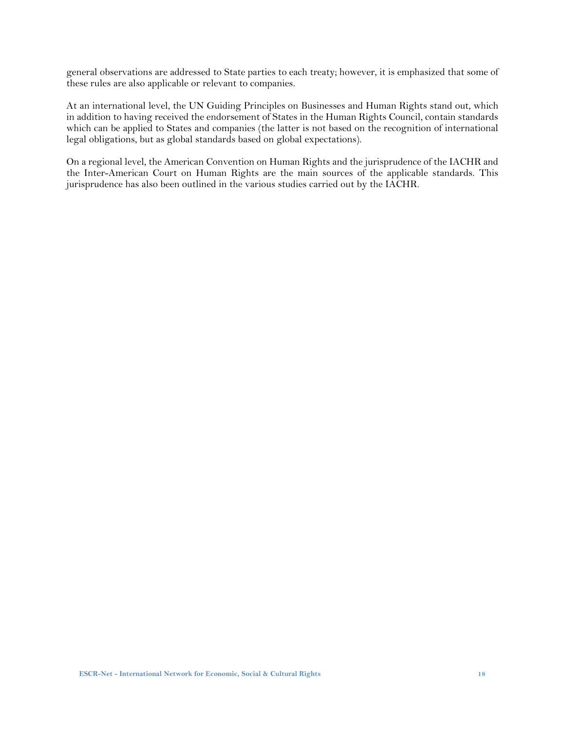general observations are addressed to State parties to each treaty; however, it is emphasized that some of these rules are also applicable or relevant to companies.

At an international level, the UN Guiding Principles on Businesses and Human Rights stand out, which in addition to having received the endorsement of States in the Human Rights Council, contain standards which can be applied to States and companies (the latter is not based on the recognition of international legal obligations, but as global standards based on global expectations).

On a regional level, the American Convention on Human Rights and the jurisprudence of the IACHR and the Inter-American Court on Human Rights are the main sources of the applicable standards. This jurisprudence has also been outlined in the various studies carried out by the IACHR.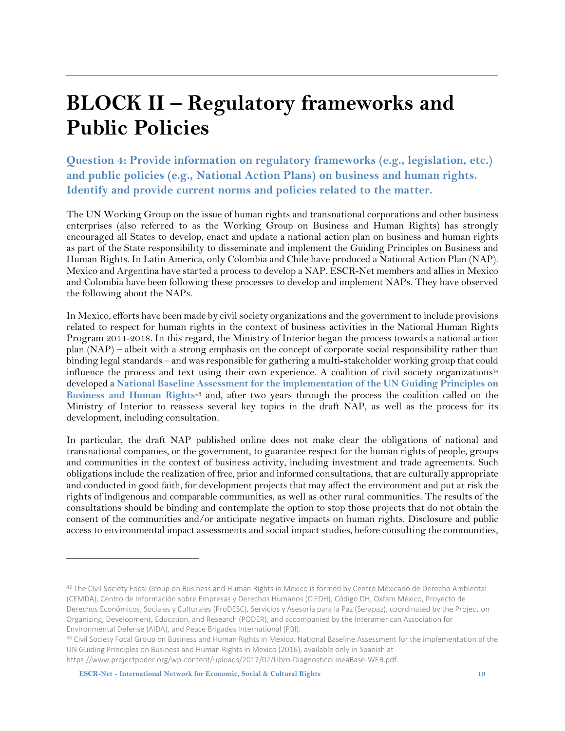### <span id="page-18-0"></span>**BLOCK II – Regulatory frameworks and Public Policies**

<span id="page-18-1"></span>**Question 4: Provide information on regulatory frameworks (e.g., legislation, etc.) and public policies (e.g., National Action Plans) on business and human rights. Identify and provide current norms and policies related to the matter.**

The UN Working Group on the issue of human rights and transnational corporations and other business enterprises (also referred to as the Working Group on Business and Human Rights) has strongly encouraged all States to develop, enact and update a national action plan on business and human rights as part of the State responsibility to disseminate and implement the Guiding Principles on Business and Human Rights. In Latin America, only Colombia and Chile have produced a National Action Plan (NAP). Mexico and Argentina have started a process to develop a NAP. ESCR-Net members and allies in Mexico and Colombia have been following these processes to develop and implement NAPs. They have observed the following about the NAPs.

In Mexico, efforts have been made by civil society organizations and the government to include provisions related to respect for human rights in the context of business activities in the National Human Rights Program 2014-2018. In this regard, the Ministry of Interior began the process towards a national action plan (NAP) – albeit with a strong emphasis on the concept of corporate social responsibility rather than binding legal standards – and was responsible for gathering a multi-stakeholder working group that could influence the process and text using their own experience. A coalition of civil society organizations<sup>42</sup> developed a **National Baseline Assessment for the [implementation](https://www.projectpoder.org/wp-content/uploads/2017/02/Libro-DiagnosticoLineaBase-WEB.pdf) of the UN Guiding Principles on [Business](https://www.projectpoder.org/wp-content/uploads/2017/02/Libro-DiagnosticoLineaBase-WEB.pdf) and Human Rights**<sup>43</sup> and, after two years through the process the coalition called on the Ministry of Interior to reassess several key topics in the draft NAP, as well as the process for its development, including consultation.

In particular, the draft NAP published online does not make clear the obligations of national and transnational companies, or the government, to guarantee respect for the human rights of people, groups and communities in the context of business activity, including investment and trade agreements. Such obligationsinclude the realization of free, prior and informed consultations, that are culturally appropriate and conducted in good faith, for development projects that may affect the environment and put at risk the rights of indigenous and comparable communities, as well as other rural communities. The results of the consultations should be binding and contemplate the option to stop those projects that do not obtain the consent of the communities and/or anticipate negative impacts on human rights. Disclosure and public access to environmental impact assessments and social impact studies, before consulting the communities,

<sup>&</sup>lt;sup>42</sup> The Civil Society Focal Group on Business and Human Rights in Mexico is formed by Centro Mexicano de Derecho Ambiental (CEMDA), Centro de Información sobre Empresas y Derechos Humanos (CIEDH), Código DH, Oxfam México, Proyecto de Derechos Económicos, Sociales y Culturales (ProDESC), Servicios y Asesoría para la Paz (Serapaz), coordinated by the Project on Organizing, Development, Education, and Research (PODER), and accompanied by the Interamerican Association for Environmental Defense (AIDA), and Peace Brigades International (PBI).

<sup>43</sup> Civil Society Focal Group on Business and Human Rights in Mexico, National Baseline Assessment for the implementation of the UN Guiding Principles on Business and Human Rights in Mexico (2016), available only in Spanish at [https://www.projectpoder.org/wp-content/uploads/2017/02/Libro-DiagnosticoLineaBase-WEB.pdf.](https://www.projectpoder.org/wp-content/uploads/2017/02/Libro-DiagnosticoLineaBase-WEB.pdf)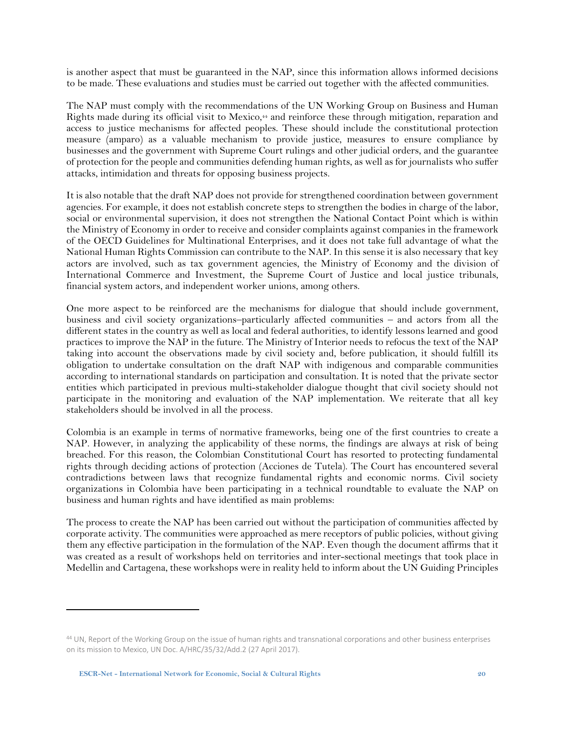is another aspect that must be guaranteed in the NAP, since this information allows informed decisions to be made. These evaluations and studies must be carried out together with the affected communities.

The NAP must comply with the recommendations of the UN Working Group on Business and Human Rights made during its official visit to Mexico, <sup>44</sup> and reinforce these through mitigation, reparation and access to justice mechanisms for affected peoples. These should include the constitutional protection measure (amparo) as a valuable mechanism to provide justice, measures to ensure compliance by businesses and the government with Supreme Court rulings and other judicial orders, and the guarantee of protection for the people and communities defending human rights, as well as for journalists who suffer attacks, intimidation and threats for opposing business projects.

It is also notable that the draft NAP does not provide for strengthened coordination between government agencies. For example, it does not establish concrete steps to strengthen the bodies in charge of the labor, social or environmental supervision, it does not strengthen the National Contact Point which is within the Ministry of Economy in order to receive and consider complaints against companies in the framework of the OECD Guidelines for Multinational Enterprises, and it does not take full advantage of what the National Human Rights Commission can contribute to the NAP. In this sense it is also necessary that key actors are involved, such as tax government agencies, the Ministry of Economy and the division of International Commerce and Investment, the Supreme Court of Justice and local justice tribunals, financial system actors, and independent worker unions, among others.

One more aspect to be reinforced are the mechanisms for dialogue that should include government, business and civil society organizations–particularly affected communities – and actors from all the different states in the country as well as local and federal authorities, to identify lessons learned and good practices to improve the NAP in the future. The Ministry of Interior needs to refocus the text of the NAP taking into account the observations made by civil society and, before publication, it should fulfill its obligation to undertake consultation on the draft NAP with indigenous and comparable communities according to international standards on participation and consultation. It is noted that the private sector entities which participated in previous multi-stakeholder dialogue thought that civil society should not participate in the monitoring and evaluation of the NAP implementation. We reiterate that all key stakeholders should be involved in all the process.

Colombia is an example in terms of normative frameworks, being one of the first countries to create a NAP. However, in analyzing the applicability of these norms, the findings are always at risk of being breached. For this reason, the Colombian Constitutional Court has resorted to protecting fundamental rights through deciding actions of protection (Acciones de Tutela). The Court has encountered several contradictions between laws that recognize fundamental rights and economic norms. Civil society organizations in Colombia have been participating in a technical roundtable to evaluate the NAP on business and human rights and have identified as main problems:

The process to create the NAP has been carried out without the participation of communities affected by corporate activity. The communities were approached as mere receptors of public policies, without giving them any effective participation in the formulation of the NAP. Even though the document affirms that it was created as a result of workshops held on territories and inter-sectional meetings that took place in Medellin and Cartagena, these workshops were in reality held to inform about the UN Guiding Principles

<sup>44</sup> UN, Report of the Working Group on the issue of human rights and transnational corporations and other business enterprises on its mission to Mexico, UN Doc. A/HRC/35/32/Add.2 (27 April 2017).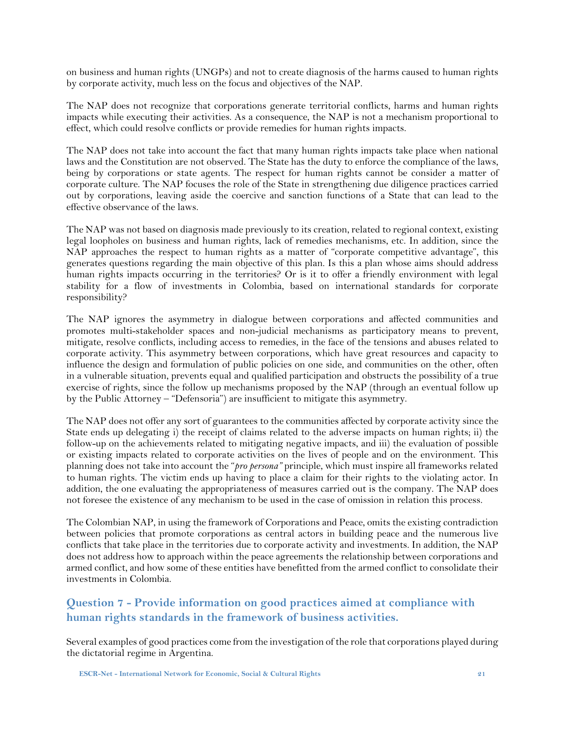on business and human rights (UNGPs) and not to create diagnosis of the harms caused to human rights by corporate activity, much less on the focus and objectives of the NAP.

The NAP does not recognize that corporations generate territorial conflicts, harms and human rights impacts while executing their activities. As a consequence, the NAP is not a mechanism proportional to effect, which could resolve conflicts or provide remedies for human rights impacts.

The NAP does not take into account the fact that many human rights impacts take place when national laws and the Constitution are not observed. The State has the duty to enforce the compliance of the laws, being by corporations or state agents. The respect for human rights cannot be consider a matter of corporate culture. The NAP focuses the role of the State in strengthening due diligence practices carried out by corporations, leaving aside the coercive and sanction functions of a State that can lead to the effective observance of the laws.

The NAP was not based on diagnosis made previously to its creation, related to regional context, existing legal loopholes on business and human rights, lack of remedies mechanisms, etc. In addition, since the NAP approaches the respect to human rights as a matter of "corporate competitive advantage", this generates questions regarding the main objective of this plan. Is this a plan whose aims should address human rights impacts occurring in the territories? Or is it to offer a friendly environment with legal stability for a flow of investments in Colombia, based on international standards for corporate responsibility?

The NAP ignores the asymmetry in dialogue between corporations and affected communities and promotes multi-stakeholder spaces and non-judicial mechanisms as participatory means to prevent, mitigate, resolve conflicts, including access to remedies, in the face of the tensions and abuses related to corporate activity. This asymmetry between corporations, which have great resources and capacity to influence the design and formulation of public policies on one side, and communities on the other, often in a vulnerable situation, prevents equal and qualified participation and obstructs the possibility of a true exercise of rights, since the follow up mechanisms proposed by the NAP (through an eventual follow up by the Public Attorney – "Defensoria") are insufficient to mitigate this asymmetry.

The NAP does not offer any sort of guarantees to the communities affected by corporate activity since the State ends up delegating i) the receipt of claims related to the adverse impacts on human rights; ii) the follow-up on the achievements related to mitigating negative impacts, and iii) the evaluation of possible or existing impacts related to corporate activities on the lives of people and on the environment. This planning does not take into account the "*pro persona"* principle, which must inspire all frameworks related to human rights. The victim ends up having to place a claim for their rights to the violating actor. In addition, the one evaluating the appropriateness of measures carried out is the company. The NAP does not foresee the existence of any mechanism to be used in the case of omission in relation this process.

The Colombian NAP, in using the framework of Corporations and Peace, omits the existing contradiction between policies that promote corporations as central actors in building peace and the numerous live conflicts that take place in the territories due to corporate activity and investments. In addition, the NAP does not address how to approach within the peace agreements the relationship between corporations and armed conflict, and how some of these entities have benefitted from the armed conflict to consolidate their investments in Colombia.

#### <span id="page-20-0"></span>**Question 7 - Provide information on good practices aimed at compliance with human rights standards in the framework of business activities.**

Several examples of good practices come from the investigation of the role that corporations played during the dictatorial regime in Argentina.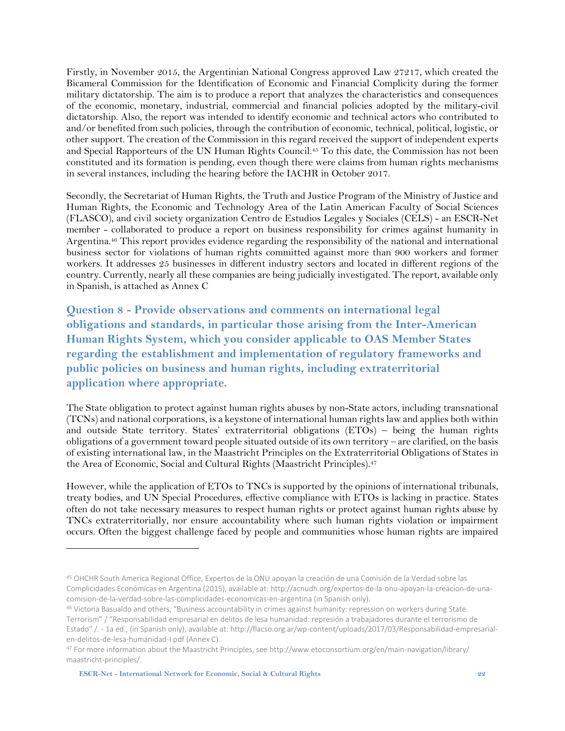Firstly, in November 2015, the Argentinian National Congress approved Law 27217, which created the Bicameral Commission for the Identification of Economic and Financial Complicity during the former military dictatorship. The aim is to produce a report that analyzes the characteristics and consequences of the economic, monetary, industrial, commercial and financial policies adopted by the military-civil dictatorship. Also, the report was intended to identify economic and technical actors who contributed to and/or benefited from such policies, through the contribution of economic, technical, political, logistic, or other support. The creation of the Commission in this regard received the support of independent experts and Special Rapporteurs of the UN Human Rights Council.<sup>45</sup> To this date, the Commission has not been constituted and its formation is pending, even though there were claims from human rights mechanisms in several instances, including the hearing before the IACHR in October 2017.

Secondly, the Secretariat of Human Rights, the Truth and Justice Program of the Ministry of Justice and Human Rights, the Economic and Technology Area of the Latin American Faculty of Social Sciences (FLASCO), and civil society organization Centro de Estudios Legales y Sociales (CELS) - an ESCR-Net member - collaborated to produce a report on business responsibility for crimes against humanity in Argentina. <sup>46</sup> This report provides evidence regarding the responsibility of the national and international business sector for violations of human rights committed against more than 900 workers and former workers. It addresses 25 businesses in different industry sectors and located in different regions of the country. Currently, nearly all these companies are being judicially investigated. The report, available only in Spanish, is attached as Annex C

<span id="page-21-0"></span>**Question 8 - Provide observations and comments on international legal obligations and standards, in particular those arising from the Inter-American Human Rights System, which you consider applicable to OAS Member States regarding the establishment and implementation of regulatory frameworks and public policies on business and human rights, including extraterritorial application where appropriate.**

The State obligation to protect against human rights abuses by non-State actors, including transnational (TCNs) and national corporations, is a keystone of international human rightslaw and applies both within and outside State territory. States' extraterritorial obligations (ETOs) – being the human rights obligations of a government toward people situated outside of its own territory – are clarified, on the basis of existing international law, in the Maastricht Principles on the Extraterritorial Obligations of States in the Area of Economic, Social and Cultural Rights (Maastricht Principles). 47

However, while the application of ETOs to TNCs is supported by the opinions of international tribunals, treaty bodies, and UN Special Procedures, effective compliance with ETOs is lacking in practice. States often do not take necessary measures to respect human rights or protect against human rights abuse by TNCs extraterritorially, nor ensure accountability where such human rights violation or impairment occurs. Often the biggest challenge faced by people and communities whose human rights are impaired

<sup>45</sup> OHCHR South America Regional Office, Expertos de la ONU apoyan la creación de una Comisión de la Verdad sobre las Complicidades Económicas en Argentina (2015), available at[: http://acnudh.org/expertos-de-la-onu-apoyan-la-creacion-de-una](http://acnudh.org/expertos-de-la-onu-apoyan-la-creacion-de-una-comision-de-la-verdad-sobre-las-complicidades-economicas-en-argentina)[comision-de-la-verdad-sobre-las-complicidades-economicas-en-argentina](http://acnudh.org/expertos-de-la-onu-apoyan-la-creacion-de-una-comision-de-la-verdad-sobre-las-complicidades-economicas-en-argentina) (in Spanish only).

<sup>46</sup> Victoria Basualdo and others, "Business accountability in crimes against humanity: repression on workers during State Terrorism" / "Responsabilidad empresarial en delitos de lesa humanidad: represión a trabajadores durante el terrorismo de Estado" /. - 1a ed., (in Spanish only), available at[: http://flacso.org.ar/wp-content/uploads/2017/03/Responsabilidad-empresarial](http://flacso.org.ar/wp-content/uploads/2017/03/Responsabilidad-empresarial-en-delitos-de-lesa-humanidad-I.pdf)[en-delitos-de-lesa-humanidad-I.pdf](http://flacso.org.ar/wp-content/uploads/2017/03/Responsabilidad-empresarial-en-delitos-de-lesa-humanidad-I.pdf) (Annex C).

<sup>47</sup> For more information about the Maastricht Principles, see http://www.etoconsortium.org/en/main-navigation/library/ maastricht-principles/.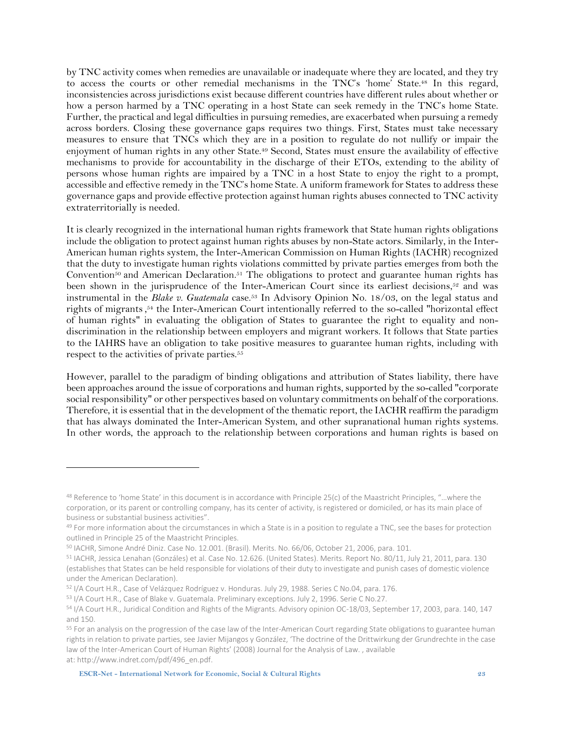by TNC activity comes when remedies are unavailable or inadequate where they are located, and they try to access the courts or other remedial mechanisms in the TNC's 'home' State. <sup>48</sup> In this regard, inconsistencies across jurisdictions exist because different countries have different rules about whether or how a person harmed by a TNC operating in a host State can seek remedy in the TNC's home State. Further, the practical and legal difficulties in pursuing remedies, are exacerbated when pursuing a remedy across borders. Closing these governance gaps requires two things. First, States must take necessary measures to ensure that TNCs which they are in a position to regulate do not nullify or impair the enjoyment of human rights in any other State. <sup>49</sup> Second, States must ensure the availability of effective mechanisms to provide for accountability in the discharge of their ETOs, extending to the ability of persons whose human rights are impaired by a TNC in a host State to enjoy the right to a prompt, accessible and effective remedy in the TNC's home State. A uniform framework for States to address these governance gaps and provide effective protection against human rights abuses connected to TNC activity extraterritorially is needed.

It is clearly recognized in the international human rights framework that State human rights obligations include the obligation to protect against human rights abuses by non-State actors. Similarly, in the Inter-American human rights system, the Inter-American Commission on Human Rights (IACHR) recognized that the duty to investigate human rights violations committed by private parties emerges from both the Convention<sup>50</sup> and American Declaration.<sup>51</sup> The obligations to protect and guarantee human rights has been shown in the jurisprudence of the Inter-American Court since its earliest decisions,<sup>52</sup> and was instrumental in the *Blake v. Guatemala* case.<sup>53</sup> In Advisory Opinion No. 18/03, on the legal status and rights of migrants, <sup>54</sup> the Inter-American Court intentionally referred to the so-called "horizontal effect of human rights" in evaluating the obligation of States to guarantee the right to equality and nondiscrimination in the relationship between employers and migrant workers. It follows that State parties to the IAHRS have an obligation to take positive measures to guarantee human rights, including with respect to the activities of private parties. 55

However, parallel to the paradigm of binding obligations and attribution of States liability, there have been approaches around the issue of corporations and human rights, supported by the so-called "corporate social responsibility" or other perspectives based on voluntary commitments on behalf of the corporations. Therefore, it is essential that in the development of the thematic report, the IACHR reaffirm the paradigm that has always dominated the Inter-American System, and other supranational human rights systems. In other words, the approach to the relationship between corporations and human rights is based on

<sup>48</sup> Reference to 'home State' in this document is in accordance with Principle 25(c) of the Maastricht Principles, "...where the corporation, or its parent or controlling company, has its center of activity, is registered or domiciled, or has its main place of business or substantial business activities".

<sup>49</sup> For more information about the circumstances in which a State is in a position to regulate a TNC, see the bases for protection outlined in Principle 25 of the Maastricht Principles.

<sup>50</sup> IACHR, Simone André Diniz. Case No. 12.001. (Brasil). Merits. No. 66/06, October 21, 2006, para. 101.

<sup>51</sup> IACHR, Jessica Lenahan (Gonzáles) et al. Case No. 12.626. (United States). Merits. Report No. 80/11, July 21, 2011, para. 130 (establishes that States can be held responsible for violations of their duty to investigate and punish cases of domestic violence under the American Declaration).

<sup>52</sup> I/A Court H.R., Case of Velázquez Rodríguez v. Honduras. July 29, 1988. Series C No.04, para. 176.

<sup>53</sup> I/A Court H.R., Case of Blake v. Guatemala. Preliminary exceptions. July 2, 1996. Serie C No.27.

<sup>54</sup> I/A Court H.R., Juridical Condition and Rights of the Migrants. Advisory opinion OC-18/03, September 17, 2003, para. 140, 147 and 150.

<sup>55</sup> For an analysis on the progression of the case law of the Inter-American Court regarding State obligations to guarantee human rights in relation to private parties, see Javier Mijangos y González, 'The doctrine of the Drittwirkung der Grundrechte in the case law of the Inter-American Court of Human Rights' (2008) Journal for the Analysis of Law. , available at: [http://www.indret.com/pdf/496\\_en.pdf.](http://www.indret.com/pdf/496_en.pdf)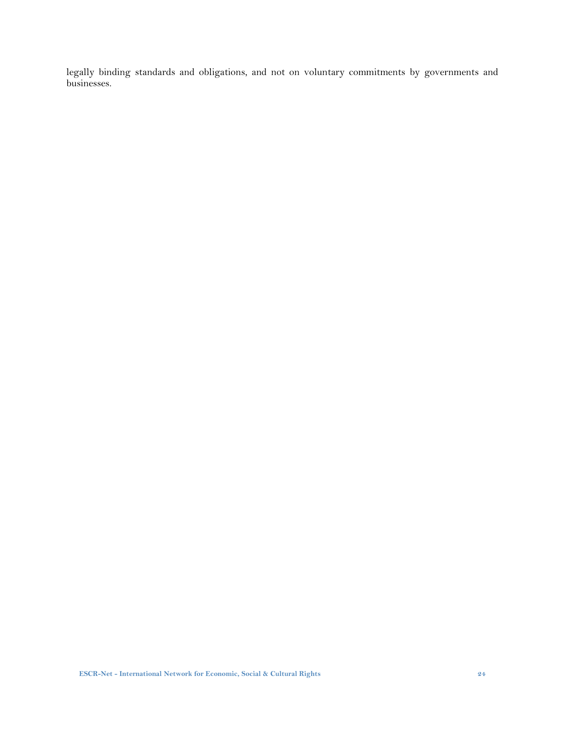legally binding standards and obligations, and not on voluntary commitments by governments and businesses.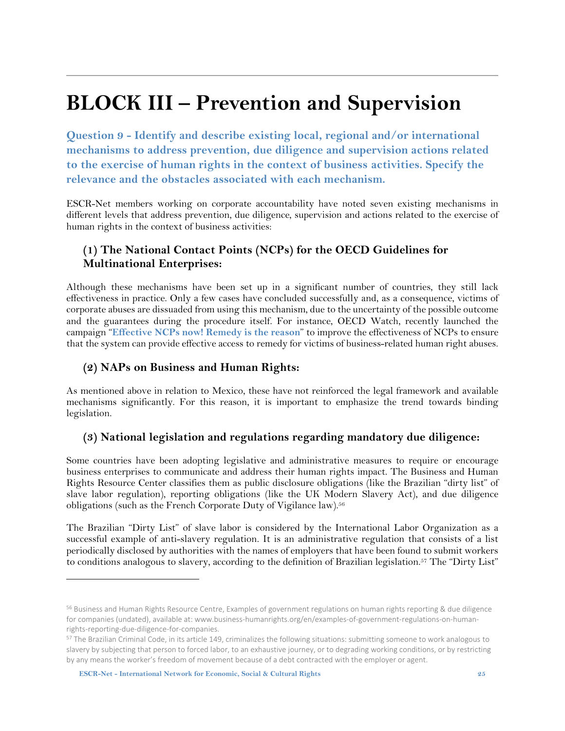## <span id="page-24-0"></span>**BLOCK III – Prevention and Supervision**

<span id="page-24-1"></span>**Question 9 - Identify and describe existing local, regional and/or international mechanisms to address prevention, due diligence and supervision actions related to the exercise of human rights in the context of business activities. Specify the relevance and the obstacles associated with each mechanism.** 

ESCR-Net members working on corporate accountability have noted seven existing mechanisms in different levels that address prevention, due diligence, supervision and actions related to the exercise of human rights in the context of business activities:

#### <span id="page-24-2"></span>**(1) The National Contact Points (NCPs) for the OECD Guidelines for Multinational Enterprises:**

Although these mechanisms have been set up in a significant number of countries, they still lack effectiveness in practice. Only a few cases have concluded successfully and, as a consequence, victims of corporate abuses are dissuaded from using this mechanism, due to the uncertainty of the possible outcome and the guarantees during the procedure itself. For instance, OECD Watch, recently launched the campaign "**[Effective](https://www.oecdwatch.org/publications-en/Publication_4394) NCPs now! Remedy is the reason**" to improve the effectiveness of NCPs to ensure that the system can provide effective access to remedy for victims of business-related human right abuses.

#### <span id="page-24-3"></span>**(2) NAPs on Business and Human Rights:**

As mentioned above in relation to Mexico, these have not reinforced the legal framework and available mechanisms significantly. For this reason, it is important to emphasize the trend towards binding legislation.

#### <span id="page-24-4"></span>**(3) National legislation and regulations regarding mandatory due diligence:**

Some countries have been adopting legislative and administrative measures to require or encourage business enterprises to communicate and address their human rights impact. The Business and Human Rights Resource Center classifies them as public disclosure obligations (like the Brazilian "dirty list" of slave labor regulation), reporting obligations (like the UK Modern Slavery Act), and due diligence obligations (such as the French Corporate Duty of Vigilance law).<sup>56</sup>

The Brazilian "Dirty List" of slave labor is considered by the International Labor Organization as a successful example of anti-slavery regulation. It is an administrative regulation that consists of a list periodically disclosed by authorities with the names of employers that have been found to submit workers to conditions analogous to slavery, according to the definition of Brazilian legislation.<sup>57</sup> The "Dirty List"

**ESCR-Net - International Network for Economic, Social & Cultural Rights 25**

<sup>56</sup> Business and Human Rights Resource Centre, Examples of government regulations on human rights reporting & due diligence for companies (undated), available at: www.business-humanrights.org/en/examples-of-government-regulations-on-humanrights-reporting-due-diligence-for-companies.

<sup>57</sup> The Brazilian Criminal Code, in its article 149, criminalizes the following situations: submitting someone to work analogous to slavery by subjecting that person to forced labor, to an exhaustive journey, or to degrading working conditions, or by restricting by any means the worker's freedom of movement because of a debt contracted with the employer or agent.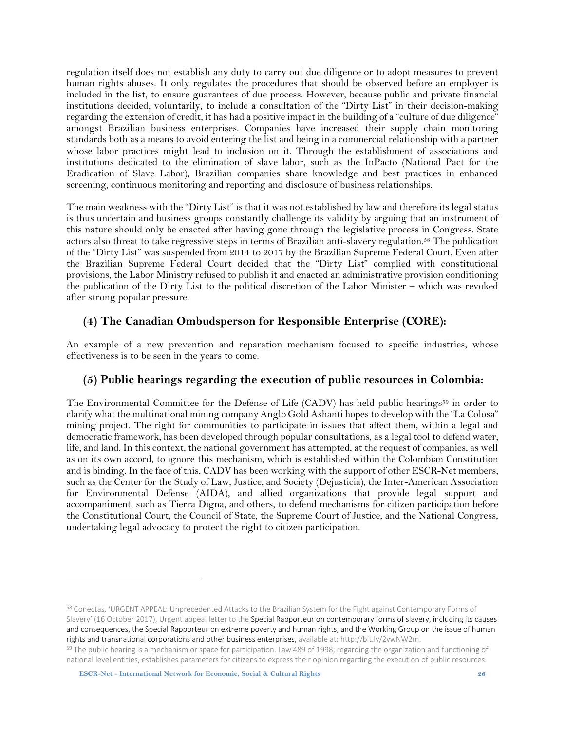regulation itself does not establish any duty to carry out due diligence or to adopt measures to prevent human rights abuses. It only regulates the procedures that should be observed before an employer is included in the list, to ensure guarantees of due process. However, because public and private financial institutions decided, voluntarily, to include a consultation of the "Dirty List" in their decision-making regarding the extension of credit, it has had a positive impact in the building of a "culture of due diligence" amongst Brazilian business enterprises. Companies have increased their supply chain monitoring standards both as a means to avoid entering the list and being in a commercial relationship with a partner whose labor practices might lead to inclusion on it. Through the establishment of associations and institutions dedicated to the elimination of slave labor, such as the InPacto (National Pact for the Eradication of Slave Labor), Brazilian companies share knowledge and best practices in enhanced screening, continuous monitoring and reporting and disclosure of business relationships.

The main weakness with the "Dirty List" is that it was not established by law and therefore its legal status is thus uncertain and business groups constantly challenge its validity by arguing that an instrument of this nature should only be enacted after having gone through the legislative process in Congress. State actors also threat to take regressive steps in terms of Brazilian anti-slavery regulation.<sup>58</sup> The publication of the "Dirty List" was suspended from 2014 to 2017 by the Brazilian Supreme Federal Court. Even after the Brazilian Supreme Federal Court decided that the "Dirty List" complied with constitutional provisions, the Labor Ministry refused to publish it and enacted an administrative provision conditioning the publication of the Dirty List to the political discretion of the Labor Minister – which was revoked after strong popular pressure.

#### <span id="page-25-0"></span>**(4) The Canadian Ombudsperson for Responsible Enterprise (CORE):**

An example of a new prevention and reparation mechanism focused to specific industries, whose effectiveness is to be seen in the years to come.

#### <span id="page-25-1"></span>**(5) Public hearings regarding the execution of public resources in Colombia:**

The Environmental Committee for the Defense of Life (CADV) has held public hearings<sup>59</sup> in order to clarify what the multinational mining company Anglo Gold Ashanti hopesto develop with the "La Colosa" mining project. The right for communities to participate in issues that affect them, within a legal and democratic framework, has been developed through popular consultations, as a legal tool to defend water, life, and land. In this context, the national government has attempted, at the request of companies, as well as on its own accord, to ignore this mechanism, which is established within the Colombian Constitution and is binding. In the face of this, CADV has been working with the support of other ESCR-Net members, such as the Center for the Study of Law, Justice, and Society (Dejusticia), the Inter-American Association for Environmental Defense (AIDA), and allied organizations that provide legal support and accompaniment, such as Tierra Digna, and others, to defend mechanisms for citizen participation before the Constitutional Court, the Council of State, the Supreme Court of Justice, and the National Congress, undertaking legal advocacy to protect the right to citizen participation.

<sup>58</sup> Conectas, 'URGENT APPEAL: Unprecedented Attacks to the Brazilian System for the Fight against Contemporary Forms of Slavery' (16 October 2017), Urgent appeal letter to the Special Rapporteur on contemporary forms of slavery, including its causes and consequences, the Special Rapporteur on extreme poverty and human rights, and the Working Group on the issue of human rights and transnational corporations and other business enterprises, available at[: http://bit.ly/2ywNW2m.](http://bit.ly/2ywNW2m)

<sup>&</sup>lt;sup>59</sup> The public hearing is a mechanism or space for participation. Law 489 of 1998, regarding the organization and functioning of national level entities, establishes parameters for citizens to express their opinion regarding the execution of public resources.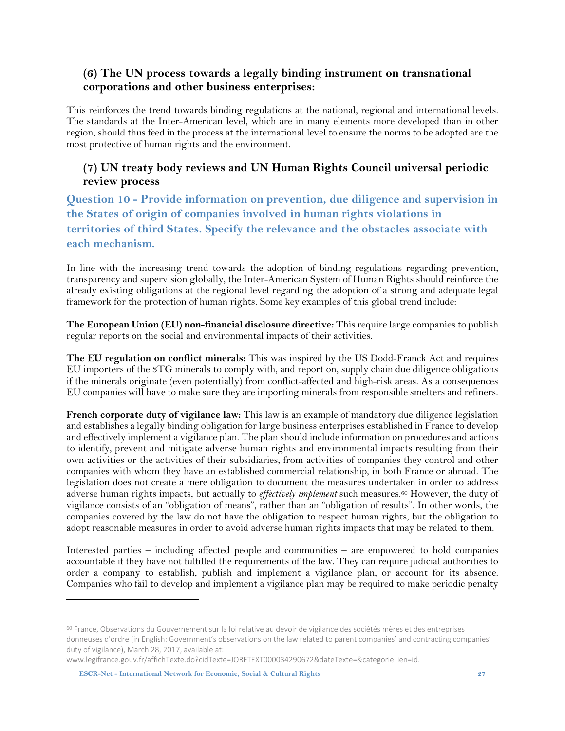#### <span id="page-26-0"></span>**(6) The UN process towards a legally binding instrument on transnational corporations and other business enterprises:**

This reinforces the trend towards binding regulations at the national, regional and international levels. The standards at the Inter-American level, which are in many elements more developed than in other region, should thus feed in the process at the international level to ensure the norms to be adopted are the most protective of human rights and the environment.

#### <span id="page-26-1"></span>**(7) UN treaty body reviews and UN Human Rights Council universal periodic review process**

<span id="page-26-2"></span>**Question 10 - Provide information on prevention, due diligence and supervision in the States of origin of companies involved in human rights violations in territories of third States. Specify the relevance and the obstacles associate with each mechanism.** 

In line with the increasing trend towards the adoption of binding regulations regarding prevention, transparency and supervision globally, the Inter-American System of Human Rights should reinforce the already existing obligations at the regional level regarding the adoption of a strong and adequate legal framework for the protection of human rights. Some key examples of this global trend include:

**The European Union (EU) non-financial disclosure directive:** This require large companies to publish regular reports on the social and environmental impacts of their activities.

**The EU regulation on conflict minerals:** This was inspired by the US Dodd-Franck Act and requires EU importers of the 3TG minerals to comply with, and report on, supply chain due diligence obligations if the minerals originate (even potentially) from conflict-affected and high-risk areas. As a consequences EU companies will have to make sure they are importing minerals from responsible smelters and refiners.

**French corporate duty of vigilance law:** This law is an example of mandatory due diligence legislation and establishes a legally binding obligation for large business enterprises established in France to develop and effectively implement a vigilance plan. The plan should include information on procedures and actions to identify, prevent and mitigate adverse human rights and environmental impacts resulting from their own activities or the activities of their subsidiaries, from activities of companies they control and other companies with whom they have an established commercial relationship, in both France or abroad. The legislation does not create a mere obligation to document the measures undertaken in order to address adverse human rights impacts, but actually to *effectively implement* such measures.<sup>60</sup> However, the duty of vigilance consists of an "obligation of means", rather than an "obligation of results". In other words, the companies covered by the law do not have the obligation to respect human rights, but the obligation to adopt reasonable measures in order to avoid adverse human rights impacts that may be related to them.

Interested parties – including affected people and communities – are empowered to hold companies accountable if they have not fulfilled the requirements of the law. They can require judicial authorities to order a company to establish, publish and implement a vigilance plan, or account for its absence. Companies who fail to develop and implement a vigilance plan may be required to make periodic penalty

**ESCR-Net - International Network for Economic, Social & Cultural Rights 27**

<sup>&</sup>lt;sup>60</sup> France, Observations du Gouvernement sur la loi relative au devoir de vigilance des sociétés mères et des entreprises donneuses d'ordre (in English: Government's observations on the law related to parent companies' and contracting companies' duty of vigilance), March 28, 2017, available at:

www.legifrance.gouv.fr/affichTexte.do?cidTexte=JORFTEXT000034290672&dateTexte=&categorieLien=id.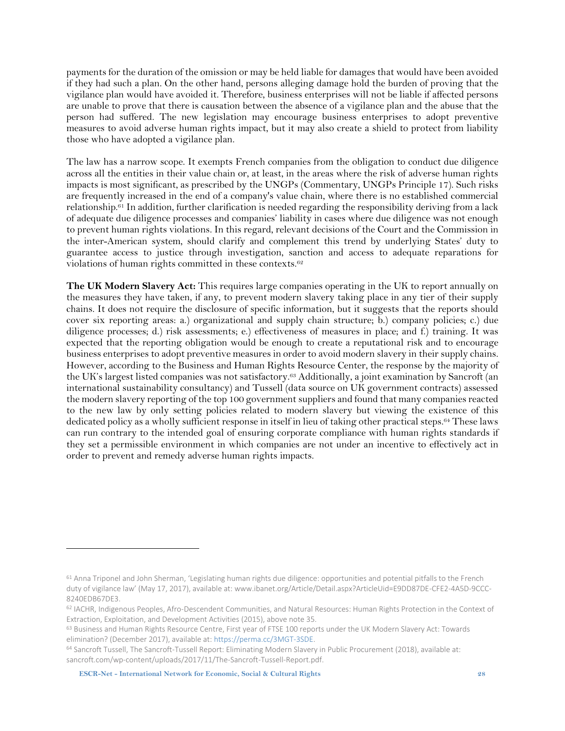payments for the duration of the omission or may be held liable for damages that would have been avoided if they had such a plan. On the other hand, persons alleging damage hold the burden of proving that the vigilance plan would have avoided it. Therefore, business enterprises will not be liable if affected persons are unable to prove that there is causation between the absence of a vigilance plan and the abuse that the person had suffered. The new legislation may encourage business enterprises to adopt preventive measures to avoid adverse human rights impact, but it may also create a shield to protect from liability those who have adopted a vigilance plan.

The law has a narrow scope. It exempts French companies from the obligation to conduct due diligence across all the entities in their value chain or, at least, in the areas where the risk of adverse human rights impacts is most significant, as prescribed by the UNGPs (Commentary, UNGPs Principle 17). Such risks are frequently increased in the end of a company's value chain, where there is no established commercial relationship.<sup>61</sup> In addition, further clarification is needed regarding the responsibility deriving from a lack of adequate due diligence processes and companies' liability in cases where due diligence was not enough to prevent human rights violations. In this regard, relevant decisions of the Court and the Commission in the inter-American system, should clarify and complement this trend by underlying States' duty to guarantee access to justice through investigation, sanction and access to adequate reparations for violations of human rights committed in these contexts.<sup>62</sup>

**The UK Modern Slavery Act:** This requires large companies operating in the UK to report annually on the measures they have taken, if any, to prevent modern slavery taking place in any tier of their supply chains. It does not require the disclosure of specific information, but it suggests that the reports should cover six reporting areas: a.) organizational and supply chain structure; b.) company policies; c.) due diligence processes; d.) risk assessments; e.) effectiveness of measures in place; and f.) training. It was expected that the reporting obligation would be enough to create a reputational risk and to encourage business enterprises to adopt preventive measures in order to avoid modern slavery in their supply chains. However, according to the Business and Human Rights Resource Center, the response by the majority of the UK's largest listed companies was not satisfactory. <sup>63</sup> Additionally, a joint examination by Sancroft (an international sustainability consultancy) and Tussell (data source on UK government contracts) assessed the modern slavery reporting of the top 100 government suppliers and found that many companies reacted to the new law by only setting policies related to modern slavery but viewing the existence of this dedicated policy as a wholly sufficient response in itself in lieu of taking other practical steps. <sup>64</sup> These laws can run contrary to the intended goal of ensuring corporate compliance with human rights standards if they set a permissible environment in which companies are not under an incentive to effectively act in order to prevent and remedy adverse human rights impacts.

**ESCR-Net - International Network for Economic, Social & Cultural Rights 28**

<sup>61</sup> Anna Triponel and John Sherman, 'Legislating human rights due diligence: opportunities and potential pitfalls to the French duty of vigilance law' (May 17, 2017), available at[: www.ibanet.org/Article/Detail.aspx?ArticleUid=E9DD87DE-CFE2-4A5D-9CCC-](file:///Z:/WORKING%20GROUPS/Corporate%20Accountability/2018/Treaty%20Project/Audiencia%20IACHR/www.ibanet.org/Article/Detail.aspx%3fArticleUid=E9DD87DE-CFE2-4A5D-9CCC-8240EDB67DE3)[8240EDB67DE3.](file:///Z:/WORKING%20GROUPS/Corporate%20Accountability/2018/Treaty%20Project/Audiencia%20IACHR/www.ibanet.org/Article/Detail.aspx%3fArticleUid=E9DD87DE-CFE2-4A5D-9CCC-8240EDB67DE3)

<sup>62</sup> IACHR, Indigenous Peoples, Afro-Descendent Communities, and Natural Resources: Human Rights Protection in the Context of Extraction, Exploitation, and Development Activities (2015), above note 35.

<sup>63</sup> Business and Human Rights Resource Centre, First year of FTSE 100 reports under the UK Modern Slavery Act: Towards elimination? (December 2017), available at: [https://perma.cc/3MGT-3SDE.](https://perma.cc/3MGT-3SDE)

<sup>64</sup> Sancroft Tussell, The Sancroft-Tussell Report: Eliminating Modern Slavery in Public Procurement (2018), available at: sancroft.com/wp-content/uploads/2017/11/The-Sancroft-Tussell-Report.pdf.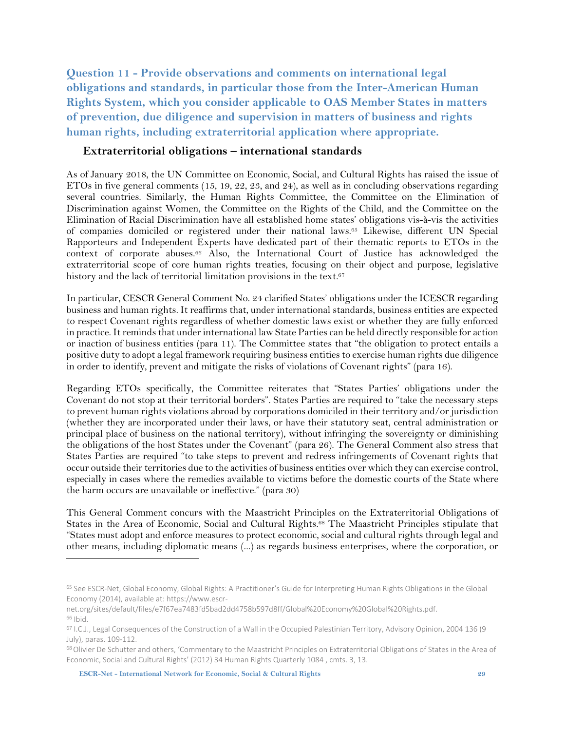<span id="page-28-0"></span>**Question 11 - Provide observations and comments on international legal obligations and standards, in particular those from the Inter-American Human Rights System, which you consider applicable to OAS Member States in matters of prevention, due diligence and supervision in matters of business and rights human rights, including extraterritorial application where appropriate.**

#### <span id="page-28-1"></span>**Extraterritorial obligations – international standards**

As of January 2018, the UN Committee on Economic, Social, and Cultural Rights has raised the issue of ETOs in five general comments (15, 19, 22, 23, and 24), as well as in concluding observations regarding several countries. Similarly, the Human Rights Committee, the Committee on the Elimination of Discrimination against Women, the Committee on the Rights of the Child, and the Committee on the Elimination of Racial Discrimination have all established home states' obligations vis-à-vis the activities of companies domiciled or registered under their national laws. <sup>65</sup> Likewise, different UN Special Rapporteurs and Independent Experts have dedicated part of their thematic reports to ETOs in the context of corporate abuses. <sup>66</sup> Also, the International Court of Justice has acknowledged the extraterritorial scope of core human rights treaties, focusing on their object and purpose, legislative history and the lack of territorial limitation provisions in the text.<sup>67</sup>

In particular, CESCR General Comment No. 24 clarified States' obligations under the ICESCR regarding business and human rights. It reaffirms that, under international standards, business entities are expected to respect Covenant rights regardless of whether domestic laws exist or whether they are fully enforced in practice. It reminds that under international law State Parties can be held directly responsible for action or inaction of business entities (para 11). The Committee states that "the obligation to protect entails a positive duty to adopt a legal framework requiring business entitiesto exercise human rights due diligence in order to identify, prevent and mitigate the risks of violations of Covenant rights" (para 16).

Regarding ETOs specifically, the Committee reiterates that "States Parties' obligations under the Covenant do not stop at their territorial borders". States Parties are required to "take the necessary steps to prevent human rights violations abroad by corporations domiciled in their territory and/or jurisdiction (whether they are incorporated under their laws, or have their statutory seat, central administration or principal place of business on the national territory), without infringing the sovereignty or diminishing the obligations of the host States under the Covenant" (para 26). The General Comment also stress that States Parties are required "to take steps to prevent and redress infringements of Covenant rights that occur outside their territories due to the activities of business entities over which they can exercise control, especially in cases where the remedies available to victims before the domestic courts of the State where the harm occurs are unavailable or ineffective." (para 30)

This General Comment concurs with the Maastricht Principles on the Extraterritorial Obligations of States in the Area of Economic, Social and Cultural Rights.<sup>68</sup> The Maastricht Principles stipulate that "States must adopt and enforce measures to protect economic, social and cultural rights through legal and other means, including diplomatic means (...) as regards business enterprises, where the corporation, or

<sup>65</sup> See ESCR-Net, Global Economy, Global Rights: A Practitioner's Guide for Interpreting Human Rights Obligations in the Global Economy (2014), available at: https://www.escr-

net.org/sites/default/files/e7f67ea7483fd5bad2dd4758b597d8ff/Global%20Economy%20Global%20Rights.pdf.  $66$  Ibid.

<sup>67</sup> I.C.J., Legal Consequences of the Construction of a Wall in the Occupied Palestinian Territory, Advisory Opinion, 2004 136 (9 July), paras. 109-112.

<sup>68</sup>Olivier De Schutter and others, 'Commentary to the Maastricht Principles on Extraterritorial Obligations of States in the Area of Economic, Social and Cultural Rights' (2012) 34 Human Rights Quarterly 1084 , cmts. 3, 13.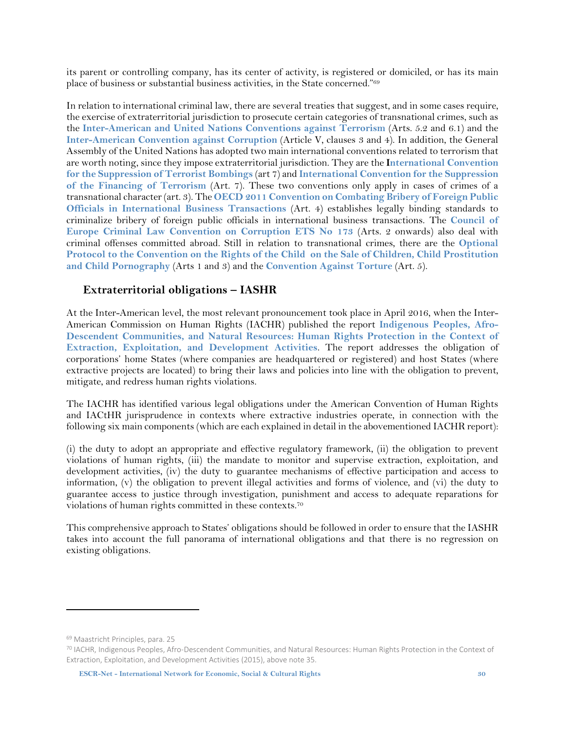its parent or controlling company, has its center of activity, is registered or domiciled, or has its main place of business or substantial business activities, in the State concerned." 69

In relation to international criminal law, there are several treaties that suggest, and in some cases require, the exercise of extraterritorial jurisdiction to prosecute certain categories of transnational crimes, such as the **[Inter-American](http://www.oas.org/xxxiiga/english/docs_en/docs_items/agres1840_02.htm) and United Nations Conventions against Terrorism** (Arts. 5.2 and 6.1) and the **[Inter-American](https://www.oas.org/juridico/english/treaties/b-58.html) Convention against Corruption** (Article V, clauses 3 and 4). In addition, the General Assembly of the United Nations has adopted two main international conventions related to terrorism that are worth noting, since they impose extraterritorial jurisdiction. They are the **[International](http://www.un.org/ga/documents/gares52/res52164.htm) Convention for the [Suppression](http://www.un.org/ga/documents/gares52/res52164.htm) of Terrorist Bombings** (art 7) and **[International](http://www.un.org/law/cod/finterr.htm) Convention for the Suppression of the Financing of [Terrorism](http://www.un.org/law/cod/finterr.htm)** (Art. 7). These two conventions only apply in cases of crimes of a transnational character(art. 3). The **OECD 2011 [Convention](http://www.oecd.org/daf/anti-bribery/ConvCombatBribery_ENG.pdf) on Combating Bribery of Foreign Public Officials in [International](http://www.oecd.org/daf/anti-bribery/ConvCombatBribery_ENG.pdf) Business Transactions** (Art. 4) establishes legally binding standards to criminalize bribery of foreign public officials in international business transactions. The **[Council](https://rm.coe.int/168007f3f5) of Europe Criminal Law [Convention](https://rm.coe.int/168007f3f5) on Corruption ETS No 173** (Arts. 2 onwards) also deal with criminal offenses committed abroad. Still in relation to transnational crimes, there are the **[Optional](http://www.ohchr.org/EN/ProfessionalInterest/Pages/OPSCCRC.aspx) Protocol to the Convention on the Rights of the Child on the Sale of Children, Child [Prostitution](http://www.ohchr.org/EN/ProfessionalInterest/Pages/OPSCCRC.aspx) and Child [Pornography](http://www.ohchr.org/EN/ProfessionalInterest/Pages/OPSCCRC.aspx)** (Arts 1 and 3) and the **[Convention](http://www.ohchr.org/EN/ProfessionalInterest/Pages/CAT.aspx) Against Torture** (Art. 5).

#### <span id="page-29-0"></span>**Extraterritorial obligations – IASHR**

At the Inter-American level, the most relevant pronouncement took place in April 2016, when the Inter-American Commission on Human Rights (IACHR) published the report **[Indigenous](http://www.oas.org/en/iachr/reports/pdfs/ExtractiveIndustries2016.pdf) Peoples, Afro-Descendent [Communities,](http://www.oas.org/en/iachr/reports/pdfs/ExtractiveIndustries2016.pdf) and Natural Resources: Human Rights Protection in the Context of Extraction, Exploitation, and [Development](http://www.oas.org/en/iachr/reports/pdfs/ExtractiveIndustries2016.pdf) Activities**. The report addresses the obligation of corporations' home States (where companies are headquartered or registered) and host States (where extractive projects are located) to bring their laws and policies into line with the obligation to prevent, mitigate, and redress human rights violations.

The IACHR has identified various legal obligations under the American Convention of Human Rights and IACtHR jurisprudence in contexts where extractive industries operate, in connection with the following six main components (which are each explained in detail in the abovementioned IACHR report):

(i) the duty to adopt an appropriate and effective regulatory framework, (ii) the obligation to prevent violations of human rights, (iii) the mandate to monitor and supervise extraction, exploitation, and development activities, (iv) the duty to guarantee mechanisms of effective participation and access to information, (v) the obligation to prevent illegal activities and forms of violence, and (vi) the duty to guarantee access to justice through investigation, punishment and access to adequate reparations for violations of human rights committed in these contexts.<sup>70</sup>

This comprehensive approach to States' obligations should be followed in order to ensure that the IASHR takes into account the full panorama of international obligations and that there is no regression on existing obligations.

<sup>69</sup> Maastricht Principles, para. 25

<sup>70</sup> IACHR, Indigenous Peoples, Afro-Descendent Communities, and Natural Resources: Human Rights Protection in the Context of Extraction, Exploitation, and Development Activities (2015), above note 35.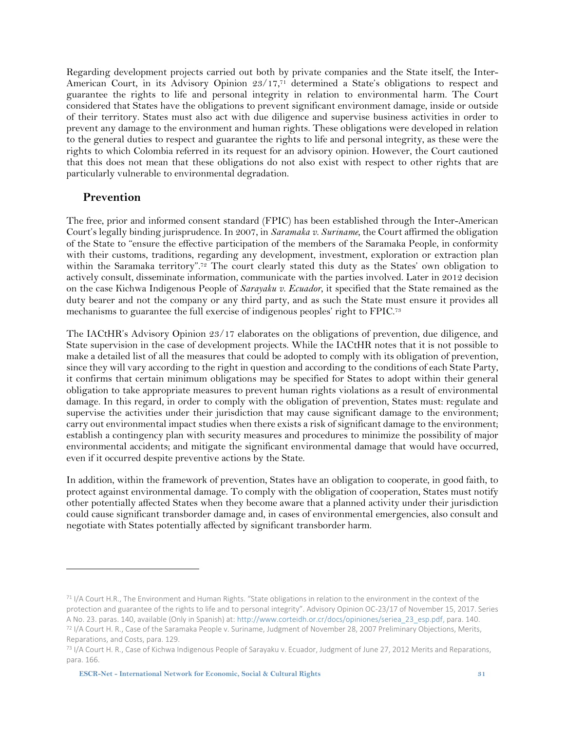Regarding development projects carried out both by private companies and the State itself, the Inter-American Court, in its Advisory Opinion 23/17,<sup>71</sup> determined a State's obligations to respect and guarantee the rights to life and personal integrity in relation to environmental harm. The Court considered that States have the obligations to prevent significant environment damage, inside or outside of their territory. States must also act with due diligence and supervise business activities in order to prevent any damage to the environment and human rights. These obligations were developed in relation to the general duties to respect and guarantee the rights to life and personal integrity, as these were the rights to which Colombia referred in its request for an advisory opinion. However, the Court cautioned that this does not mean that these obligations do not also exist with respect to other rights that are particularly vulnerable to environmental degradation.

#### <span id="page-30-0"></span>**Prevention**

 $\overline{a}$ 

The free, prior and informed consent standard (FPIC) has been established through the Inter-American Court's legally binding jurisprudence. In 2007, in *Saramaka v. Suriname*, the Court affirmed the obligation of the State to "ensure the effective participation of the members of the Saramaka People, in conformity with their customs, traditions, regarding any development, investment, exploration or extraction plan within the Saramaka territory".<sup>72</sup> The court clearly stated this duty as the States' own obligation to actively consult, disseminate information, communicate with the parties involved. Later in 2012 decision on the case Kichwa Indigenous People of *Sarayaku v. Ecuador*, it specified that the State remained as the duty bearer and not the company or any third party, and as such the State must ensure it provides all mechanisms to guarantee the full exercise of indigenous peoples' right to FPIC.<sup>73</sup>

The IACtHR's Advisory Opinion 23/17 elaborates on the obligations of prevention, due diligence, and State supervision in the case of development projects. While the IACtHR notes that it is not possible to make a detailed list of all the measures that could be adopted to comply with its obligation of prevention, since they will vary according to the right in question and according to the conditions of each State Party, it confirms that certain minimum obligations may be specified for States to adopt within their general obligation to take appropriate measures to prevent human rights violations as a result of environmental damage. In this regard, in order to comply with the obligation of prevention, States must: regulate and supervise the activities under their jurisdiction that may cause significant damage to the environment; carry out environmental impact studies when there exists a risk of significant damage to the environment; establish a contingency plan with security measures and procedures to minimize the possibility of major environmental accidents; and mitigate the significant environmental damage that would have occurred, even if it occurred despite preventive actions by the State.

In addition, within the framework of prevention, States have an obligation to cooperate, in good faith, to protect against environmental damage. To comply with the obligation of cooperation, States must notify other potentially affected States when they become aware that a planned activity under their jurisdiction could cause significant transborder damage and, in cases of environmental emergencies, also consult and negotiate with States potentially affected by significant transborder harm.

 $71$  I/A Court H.R., The Environment and Human Rights. "State obligations in relation to the environment in the context of the protection and guarantee of the rights to life and to personal integrity". Advisory Opinion OC-23/17 of November 15, 2017. Series A No. 23. paras. 140, available (Only in Spanish) at: [http://www.corteidh.or.cr/docs/opiniones/seriea\\_23\\_esp.pdf,](http://www.corteidh.or.cr/docs/opiniones/seriea_23_esp.pdf) para. 140. <sup>72</sup> I/A Court H. R., Case of the Saramaka People v. Suriname, Judgment of November 28, 2007 Preliminary Objections, Merits,

Reparations, and Costs, para. 129.

<sup>73</sup> I/A Court H. R., Case of Kichwa Indigenous People of Sarayaku v. Ecuador, Judgment of June 27, 2012 Merits and Reparations, para. 166.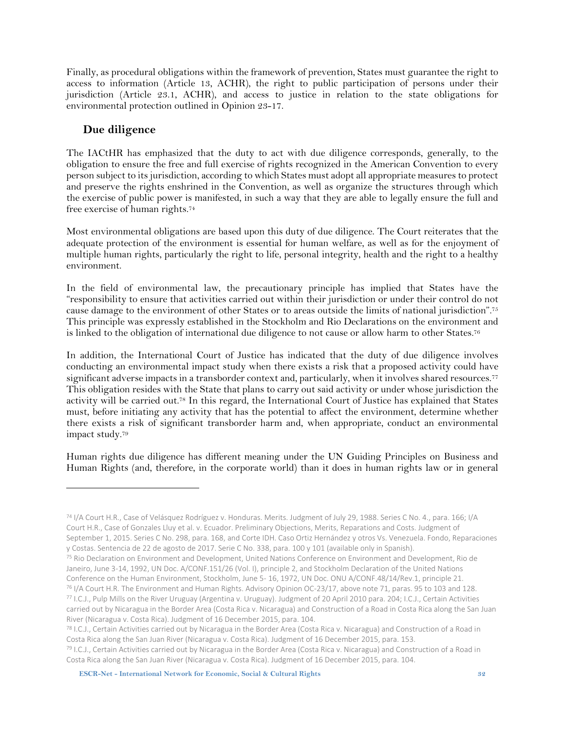Finally, as procedural obligations within the framework of prevention, States must guarantee the right to access to information (Article 13, ACHR), the right to public participation of persons under their jurisdiction (Article 23.1, ACHR), and access to justice in relation to the state obligations for environmental protection outlined in Opinion 23-17.

#### <span id="page-31-0"></span>**Due diligence**

 $\overline{a}$ 

The IACtHR has emphasized that the duty to act with due diligence corresponds, generally, to the obligation to ensure the free and full exercise of rights recognized in the American Convention to every person subject to itsjurisdiction, according to which States must adopt all appropriate measuresto protect and preserve the rights enshrined in the Convention, as well as organize the structures through which the exercise of public power is manifested, in such a way that they are able to legally ensure the full and free exercise of human rights. 74

Most environmental obligations are based upon this duty of due diligence. The Court reiterates that the adequate protection of the environment is essential for human welfare, as well as for the enjoyment of multiple human rights, particularly the right to life, personal integrity, health and the right to a healthy environment.

In the field of environmental law, the precautionary principle has implied that States have the "responsibility to ensure that activities carried out within their jurisdiction or under their control do not cause damage to the environment of other States or to areas outside the limits of national jurisdiction". 75 This principle was expressly established in the Stockholm and Rio Declarations on the environment and is linked to the obligation of international due diligence to not cause or allow harm to other States. $^{\rm 76}$ 

In addition, the International Court of Justice has indicated that the duty of due diligence involves conducting an environmental impact study when there exists a risk that a proposed activity could have  ${\rm significant}$  adverse impacts in a transborder context and, particularly, when it involves shared resources. $^{77}$ This obligation resides with the State that plans to carry out said activity or under whose jurisdiction the activity will be carried out. <sup>78</sup> In this regard, the International Court of Justice has explained that States must, before initiating any activity that has the potential to affect the environment, determine whether there exists a risk of significant transborder harm and, when appropriate, conduct an environmental impact study. 79

Human rights due diligence has different meaning under the UN Guiding Principles on Business and Human Rights (and, therefore, in the corporate world) than it does in human rights law or in general

<sup>74</sup> I/A Court H.R., Case of Velásquez Rodríguez v. Honduras. Merits. Judgment of July 29, 1988. Series C No. 4., para. 166; I/A Court H.R., Case of Gonzales Lluy et al. v. Ecuador. Preliminary Objections, Merits, Reparations and Costs. Judgment of September 1, 2015. Series C No. 298, para. 168, and Corte IDH. Caso Ortiz Hernández y otros Vs. Venezuela. Fondo, Reparaciones y Costas. Sentencia de 22 de agosto de 2017. Serie C No. 338, para. 100 y 101 (available only in Spanish).

<sup>75</sup> Rio Declaration on Environment and Development, United Nations Conference on Environment and Development, Rio de Janeiro, June 3-14, 1992, UN Doc. A/CONF.151/26 (Vol. I), principle 2, and Stockholm Declaration of the United Nations Conference on the Human Environment, Stockholm, June 5- 16, 1972, UN Doc. ONU A/CONF.48/14/Rev.1, principle 21.

<sup>76</sup> I/A Court H.R. The Environment and Human Rights. Advisory Opinion OC-23/17, above note 71, paras. 95 to 103 and 128. <sup>77</sup> I.C.J., Pulp Mills on the River Uruguay (Argentina v. Uruguay). Judgment of 20 April 2010 para. 204; I.C.J., Certain Activities carried out by Nicaragua in the Border Area (Costa Rica v. Nicaragua) and Construction of a Road in Costa Rica along the San Juan River (Nicaragua v. Costa Rica). Judgment of 16 December 2015, para. 104.

<sup>78</sup> I.C.J., Certain Activities carried out by Nicaragua in the Border Area (Costa Rica v. Nicaragua) and Construction of a Road in Costa Rica along the San Juan River (Nicaragua v. Costa Rica). Judgment of 16 December 2015, para. 153.

<sup>79</sup> I.C.J., Certain Activities carried out by Nicaragua in the Border Area (Costa Rica v. Nicaragua) and Construction of a Road in Costa Rica along the San Juan River (Nicaragua v. Costa Rica). Judgment of 16 December 2015, para. 104.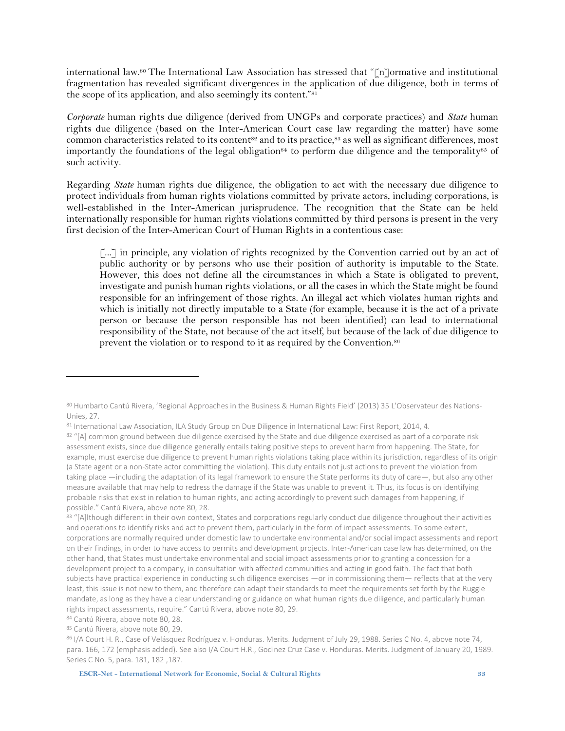international law. <sup>80</sup> The International Law Association has stressed that "[n]ormative and institutional fragmentation has revealed significant divergences in the application of due diligence, both in terms of the scope of its application, and also seemingly its content."<sup>81</sup>

*Corporate* human rights due diligence (derived from UNGPs and corporate practices) and *State* human rights due diligence (based on the Inter-American Court case law regarding the matter) have some common characteristics related to its content<sup>s2</sup> and to its practice,<sup>83</sup> as well as significant differences, most importantly the foundations of the legal obligation<sup>84</sup> to perform due diligence and the temporality<sup>85</sup> of such activity.

Regarding *State* human rights due diligence, the obligation to act with the necessary due diligence to protect individuals from human rights violations committed by private actors, including corporations, is well-established in the Inter-American jurisprudence. The recognition that the State can be held internationally responsible for human rights violations committed by third persons is present in the very first decision of the Inter-American Court of Human Rights in a contentious case:

[...] in principle, any violation of rights recognized by the Convention carried out by an act of public authority or by persons who use their position of authority is imputable to the State. However, this does not define all the circumstances in which a State is obligated to prevent, investigate and punish human rights violations, or all the cases in which the State might be found responsible for an infringement of those rights. An illegal act which violates human rights and which is initially not directly imputable to a State (for example, because it is the act of a private person or because the person responsible has not been identified) can lead to international responsibility of the State, not because of the act itself, but because of the lack of due diligence to prevent the violation or to respond to it as required by the Convention. 86

<sup>80</sup> Humbarto Cantú Rivera, 'Regional Approaches in the Business & Human Rights Field' (2013) 35 L'Observateur des Nations-Unies, 27.

<sup>81</sup> International Law Association, ILA Study Group on Due Diligence in International Law: First Report, 2014, 4.

<sup>82 &</sup>quot;[A] common ground between due diligence exercised by the State and due diligence exercised as part of a corporate risk assessment exists, since due diligence generally entails taking positive steps to prevent harm from happening. The State, for example, must exercise due diligence to prevent human rights violations taking place within its jurisdiction, regardless of its origin (a State agent or a non-State actor committing the violation). This duty entails not just actions to prevent the violation from taking place —including the adaptation of its legal framework to ensure the State performs its duty of care—, but also any other measure available that may help to redress the damage if the State was unable to prevent it. Thus, its focus is on identifying probable risks that exist in relation to human rights, and acting accordingly to prevent such damages from happening, if possible." Cantú Rivera, above note 80, 28.

<sup>83 &</sup>quot;[A]lthough different in their own context, States and corporations regularly conduct due diligence throughout their activities and operations to identify risks and act to prevent them, particularly in the form of impact assessments. To some extent, corporations are normally required under domestic law to undertake environmental and/or social impact assessments and report on their findings, in order to have access to permits and development projects. Inter-American case law has determined, on the other hand, that States must undertake environmental and social impact assessments prior to granting a concession for a development project to a company, in consultation with affected communities and acting in good faith. The fact that both subjects have practical experience in conducting such diligence exercises —or in commissioning them— reflects that at the very least, this issue is not new to them, and therefore can adapt their standards to meet the requirements set forth by the Ruggie mandate, as long as they have a clear understanding or guidance on what human rights due diligence, and particularly human rights impact assessments, require." Cantú Rivera, above note 80, 29.

<sup>84</sup> Cantú Rivera, above note 80, 28.

<sup>85</sup> Cantú Rivera, above note 80, 29.

<sup>86</sup> I/A Court H. R., Case of Velásquez Rodríguez v. Honduras. Merits. Judgment of July 29, 1988. Series C No. 4, above note 74, para. 166, 172 (emphasis added). See also I/A Court H.R., Godinez Cruz Case v. Honduras. Merits. Judgment of January 20, 1989. Series C No. 5, para. 181, 182 ,187.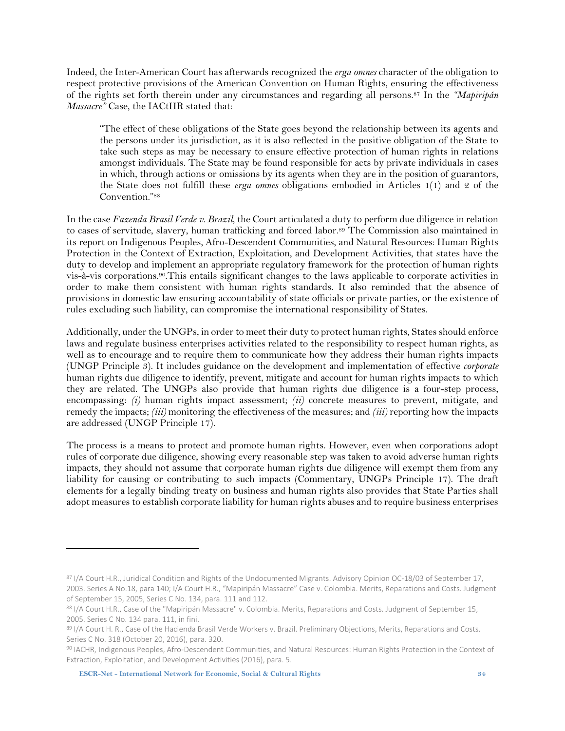Indeed, the Inter-American Court has afterwards recognized the *erga omnes* character of the obligation to respect protective provisions of the American Convention on Human Rights, ensuring the effectiveness of the rights set forth therein under any circumstances and regarding all persons. <sup>87</sup> In the *"Mapiripán Massacre"* Case, the IACtHR stated that:

"The effect of these obligations of the State goes beyond the relationship between its agents and the persons under its jurisdiction, as it is also reflected in the positive obligation of the State to take such steps as may be necessary to ensure effective protection of human rights in relations amongst individuals. The State may be found responsible for acts by private individuals in cases in which, through actions or omissions by its agents when they are in the position of guarantors, the State does not fulfill these *erga omnes* obligations embodied in Articles 1(1) and 2 of the Convention."<sup>88</sup>

In the case *Fazenda Brasil Verde v. Brazil*, the Court articulated a duty to perform due diligence in relation to cases of servitude, slavery, human trafficking and forced labor. <sup>89</sup> The Commission also maintained in its report on Indigenous Peoples, Afro-Descendent Communities, and Natural Resources: Human Rights Protection in the Context of Extraction, Exploitation, and Development Activities, that states have the duty to develop and implement an appropriate regulatory framework for the protection of human rights vis-à-vis corporations. <sup>90</sup>.This entails significant changes to the laws applicable to corporate activities in order to make them consistent with human rights standards. It also reminded that the absence of provisions in domestic law ensuring accountability of state officials or private parties, or the existence of rules excluding such liability, can compromise the international responsibility of States.

Additionally, under the UNGPs, in order to meet their duty to protect human rights, States should enforce laws and regulate business enterprises activities related to the responsibility to respect human rights, as well as to encourage and to require them to communicate how they address their human rights impacts (UNGP Principle 3). It includes guidance on the development and implementation of effective *corporate* human rights due diligence to identify, prevent, mitigate and account for human rights impacts to which they are related. The UNGPs also provide that human rights due diligence is a four-step process, encompassing: *(i)* human rights impact assessment; *(ii)* concrete measures to prevent, mitigate, and remedy the impacts; *(iii)* monitoring the effectiveness of the measures; and *(iii)* reporting how the impacts are addressed (UNGP Principle 17).

The process is a means to protect and promote human rights. However, even when corporations adopt rules of corporate due diligence, showing every reasonable step was taken to avoid adverse human rights impacts, they should not assume that corporate human rights due diligence will exempt them from any liability for causing or contributing to such impacts (Commentary, UNGPs Principle 17). The draft elements for a legally binding treaty on business and human rights also provides that State Parties shall adopt measures to establish corporate liability for human rights abuses and to require business enterprises

<sup>87</sup> I/A Court H.R., Juridical Condition and Rights of the Undocumented Migrants. Advisory Opinion OC-18/03 of September 17, 2003. Series A No.18, para 140; I/A Court H.R., "Mapiripán Massacre" Case v. Colombia. Merits, Reparations and Costs. Judgment of September 15, 2005, Series C No. 134, para. 111 and 112.

<sup>88</sup> I/A Court H.R., Case of the "Mapiripán Massacre" v. Colombia. Merits, Reparations and Costs. Judgment of September 15, 2005. Series C No. 134 para. 111, in fini.

<sup>89</sup> I/A Court H. R., Case of the Hacienda Brasil Verde Workers v. Brazil. Preliminary Objections, Merits, Reparations and Costs. Series C No. 318 (October 20, 2016), para. 320.

<sup>90</sup> IACHR, Indigenous Peoples, Afro-Descendent Communities, and Natural Resources: Human Rights Protection in the Context of Extraction, Exploitation, and Development Activities (2016), para. 5.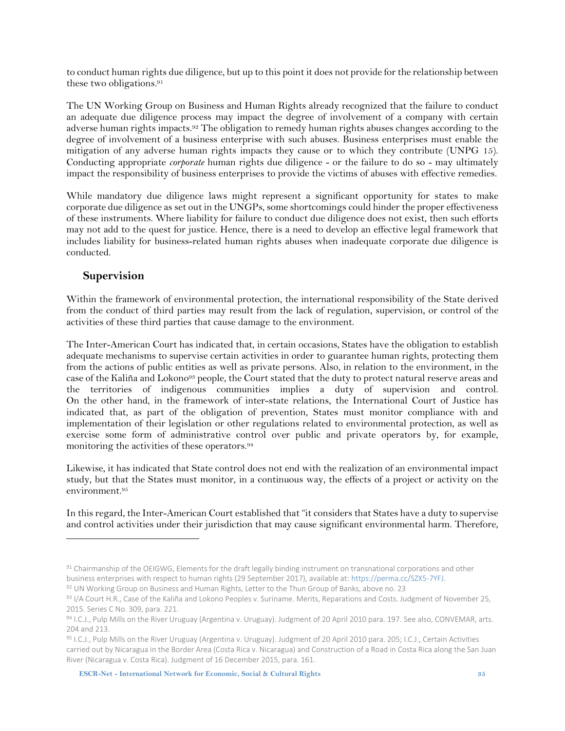to conduct human rights due diligence, but up to this point it does not provide forthe relationship between these two obligations. 91

The UN Working Group on Business and Human Rights already recognized that the failure to conduct an adequate due diligence process may impact the degree of involvement of a company with certain adverse human rights impacts. <sup>92</sup> The obligation to remedy human rights abuses changes according to the degree of involvement of a business enterprise with such abuses. Business enterprises must enable the mitigation of any adverse human rights impacts they cause or to which they contribute (UNPG 15). Conducting appropriate *corporate* human rights due diligence - or the failure to do so - may ultimately impact the responsibility of business enterprises to provide the victims of abuses with effective remedies.

While mandatory due diligence laws might represent a significant opportunity for states to make corporate due diligence as set out in the UNGPs, some shortcomings could hinder the proper effectiveness of these instruments. Where liability for failure to conduct due diligence does not exist, then such efforts may not add to the quest for justice. Hence, there is a need to develop an effective legal framework that includes liability for business-related human rights abuses when inadequate corporate due diligence is conducted.

#### <span id="page-34-0"></span>**Supervision**

 $\ddot{\phantom{a}}$ 

Within the framework of environmental protection, the international responsibility of the State derived from the conduct of third parties may result from the lack of regulation, supervision, or control of the activities of these third parties that cause damage to the environment.

The Inter-American Court has indicated that, in certain occasions, States have the obligation to establish adequate mechanisms to supervise certain activities in order to guarantee human rights, protecting them from the actions of public entities as well as private persons. Also, in relation to the environment, in the case of the Kaliña and Lokono<sup>93</sup> people, the Court stated that the duty to protect natural reserve areas and the territories of indigenous communities implies a duty of supervision and control. On the other hand, in the framework of inter-state relations, the International Court of Justice has indicated that, as part of the obligation of prevention, States must monitor compliance with and implementation of their legislation or other regulations related to environmental protection, as well as exercise some form of administrative control over public and private operators by, for example, monitoring the activities of these operators. 94

Likewise, it has indicated that State control does not end with the realization of an environmental impact study, but that the States must monitor, in a continuous way, the effects of a project or activity on the environment. 95

In this regard, the Inter-American Court established that "it considers that States have a duty to supervise and control activities under their jurisdiction that may cause significant environmental harm. Therefore,

**ESCR-Net - International Network for Economic, Social & Cultural Rights 35**

<sup>91</sup> Chairmanship of the OEIGWG, Elements for the draft legally binding instrument on transnational corporations and other business enterprises with respect to human rights (29 September 2017), available at[: https://perma.cc/SZX5-7YFJ.](https://perma.cc/SZX5-7YFJ)

<sup>92</sup> UN Working Group on Business and Human Rights, Letter to the Thun Group of Banks, above no. 23

<sup>93</sup> I/A Court H.R., Case of the Kaliña and Lokono Peoples v. Suriname. Merits, Reparations and Costs. Judgment of November 25, 2015. Series C No. 309, para. 221.

<sup>94</sup> I.C.J., Pulp Mills on the River Uruguay (Argentina v. Uruguay). Judgment of 20 April 2010 para. 197. See also, CONVEMAR, arts. 204 and 213.

<sup>95</sup> I.C.J., Pulp Mills on the River Uruguay (Argentina v. Uruguay). Judgment of 20 April 2010 para. 205; I.C.J., Certain Activities carried out by Nicaragua in the Border Area (Costa Rica v. Nicaragua) and Construction of a Road in Costa Rica along the San Juan River (Nicaragua v. Costa Rica). Judgment of 16 December 2015, para. 161.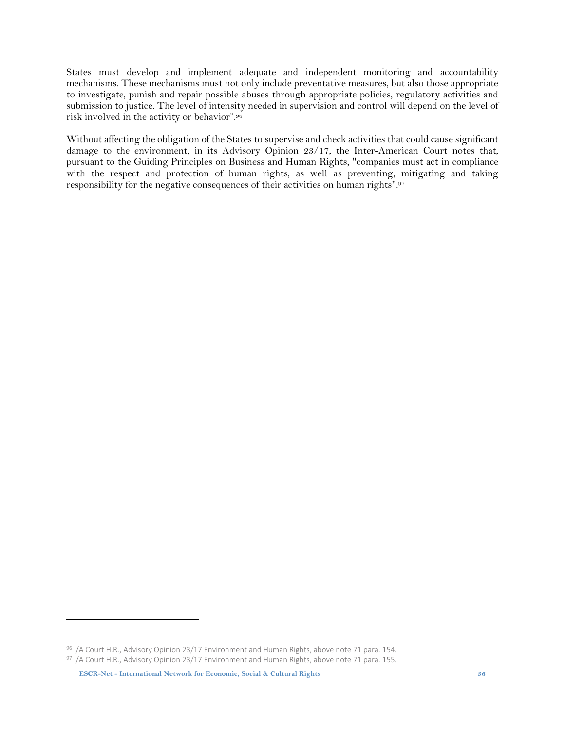States must develop and implement adequate and independent monitoring and accountability mechanisms. These mechanisms must not only include preventative measures, but also those appropriate to investigate, punish and repair possible abuses through appropriate policies, regulatory activities and submission to justice. The level of intensity needed in supervision and control will depend on the level of risk involved in the activity or behavior". 96

Without affecting the obligation of the States to supervise and check activities that could cause significant damage to the environment, in its Advisory Opinion 23/17, the Inter-American Court notes that, pursuant to the Guiding Principles on Business and Human Rights, "companies must act in compliance with the respect and protection of human rights, as well as preventing, mitigating and taking responsibility for the negative consequences of their activities on human rights". 97

<sup>96</sup> I/A Court H.R., Advisory Opinion 23/17 Environment and Human Rights, above note 71 para. 154. 97 I/A Court H.R., Advisory Opinion 23/17 Environment and Human Rights, above note 71 para. 155.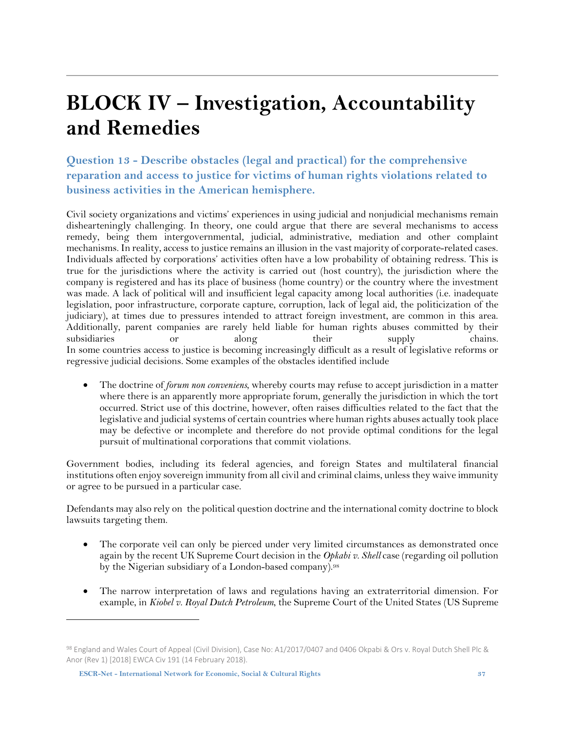### <span id="page-36-0"></span>**BLOCK IV – Investigation, Accountability and Remedies**

<span id="page-36-1"></span>**Question 13 - Describe obstacles (legal and practical) for the comprehensive reparation and access to justice for victims of human rights violations related to business activities in the American hemisphere.** 

Civil society organizations and victims' experiences in using judicial and nonjudicial mechanisms remain dishearteningly challenging. In theory, one could argue that there are several mechanisms to access remedy, being them intergovernmental, judicial, administrative, mediation and other complaint mechanisms. In reality, access to justice remains an illusion in the vast majority of corporate-related cases. Individuals affected by corporations' activities often have a low probability of obtaining redress. This is true for the jurisdictions where the activity is carried out (host country), the jurisdiction where the company is registered and has its place of business (home country) or the country where the investment was made. A lack of political will and insufficient legal capacity among local authorities (i.e. inadequate legislation, poor infrastructure, corporate capture, corruption, lack of legal aid, the politicization of the judiciary), at times due to pressures intended to attract foreign investment, are common in this area. Additionally, parent companies are rarely held liable for human rights abuses committed by their subsidiaries or along their supply chains. In some countries access to justice is becoming increasingly difficult as a result of legislative reforms or regressive judicial decisions. Some examples of the obstacles identified include

• The doctrine of *forum non conveniens*, whereby courts may refuse to accept jurisdiction in a matter where there is an apparently more appropriate forum, generally the jurisdiction in which the tort occurred. Strict use of this doctrine, however, often raises difficulties related to the fact that the legislative and judicial systems of certain countries where human rights abuses actually took place may be defective or incomplete and therefore do not provide optimal conditions for the legal pursuit of multinational corporations that commit violations.

Government bodies, including its federal agencies, and foreign States and multilateral financial institutions often enjoy sovereign immunity from all civil and criminal claims, unlessthey waive immunity or agree to be pursued in a particular case.

Defendants may also rely on the political question doctrine and the international comity doctrine to block lawsuits targeting them.

- The corporate veil can only be pierced under very limited circumstances as demonstrated once again by the recent UK Supreme Court decision in the *Opkabi v. Shell* case (regarding oil pollution by the Nigerian subsidiary of a London-based company). 98
- The narrow interpretation of laws and regulations having an extraterritorial dimension. For example, in *Kiobel v. Royal Dutch Petroleum*, the Supreme Court of the United States (US Supreme

<sup>98</sup> England and Wales Court of Appeal (Civil Division), Case No: A1/2017/0407 and 0406 Okpabi & Ors v. Royal Dutch Shell Plc & Anor (Rev 1) [2018] EWCA Civ 191 (14 February 2018).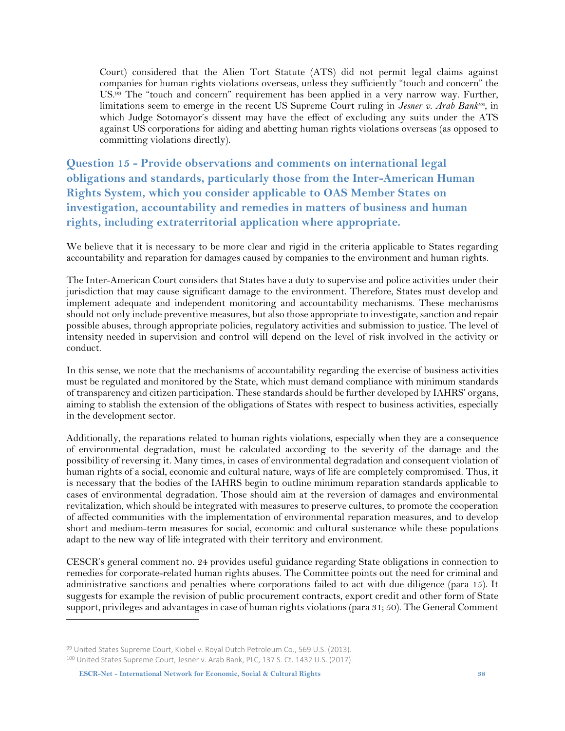Court) considered that the Alien Tort Statute (ATS) did not permit legal claims against companies for human rights violations overseas, unless they sufficiently "touch and concern" the US.<sup>99</sup> The "touch and concern" requirement has been applied in a very narrow way. Further, limitations seem to emerge in the recent US Supreme Court ruling in *Jesner v. Arab Bank<sup>100</sup>* , in which Judge Sotomayor's dissent may have the effect of excluding any suits under the ATS against US corporations for aiding and abetting human rights violations overseas (as opposed to committing violations directly).

<span id="page-37-0"></span>**Question 15 - Provide observations and comments on international legal obligations and standards, particularly those from the Inter-American Human Rights System, which you consider applicable to OAS Member States on investigation, accountability and remedies in matters of business and human rights, including extraterritorial application where appropriate.**

We believe that it is necessary to be more clear and rigid in the criteria applicable to States regarding accountability and reparation for damages caused by companies to the environment and human rights.

The Inter-American Court considers that States have a duty to supervise and police activities under their jurisdiction that may cause significant damage to the environment. Therefore, States must develop and implement adequate and independent monitoring and accountability mechanisms. These mechanisms should not only include preventive measures, but also those appropriate to investigate, sanction and repair possible abuses, through appropriate policies, regulatory activities and submission to justice. The level of intensity needed in supervision and control will depend on the level of risk involved in the activity or conduct.

In this sense, we note that the mechanisms of accountability regarding the exercise of business activities must be regulated and monitored by the State, which must demand compliance with minimum standards of transparency and citizen participation. These standards should be further developed by IAHRS' organs, aiming to stablish the extension of the obligations of States with respect to business activities, especially in the development sector.

Additionally, the reparations related to human rights violations, especially when they are a consequence of environmental degradation, must be calculated according to the severity of the damage and the possibility of reversing it. Many times, in cases of environmental degradation and consequent violation of human rights of a social, economic and cultural nature, ways of life are completely compromised. Thus, it is necessary that the bodies of the IAHRS begin to outline minimum reparation standards applicable to cases of environmental degradation. Those should aim at the reversion of damages and environmental revitalization, which should be integrated with measures to preserve cultures, to promote the cooperation of affected communities with the implementation of environmental reparation measures, and to develop short and medium-term measures for social, economic and cultural sustenance while these populations adapt to the new way of life integrated with their territory and environment.

CESCR's general comment no. 24 provides useful guidance regarding State obligations in connection to remedies for corporate-related human rights abuses. The Committee points out the need for criminal and administrative sanctions and penalties where corporations failed to act with due diligence (para 15). It suggests for example the revision of public procurement contracts, export credit and other form of State support, privileges and advantages in case of human rights violations (para 31; 50). The General Comment

<sup>99</sup> United States Supreme Court, Kiobel v. Royal Dutch Petroleum Co., 569 U.S. (2013). 100 United States Supreme Court, Jesner v. Arab Bank, PLC, 137 S. Ct. 1432 U.S. (2017).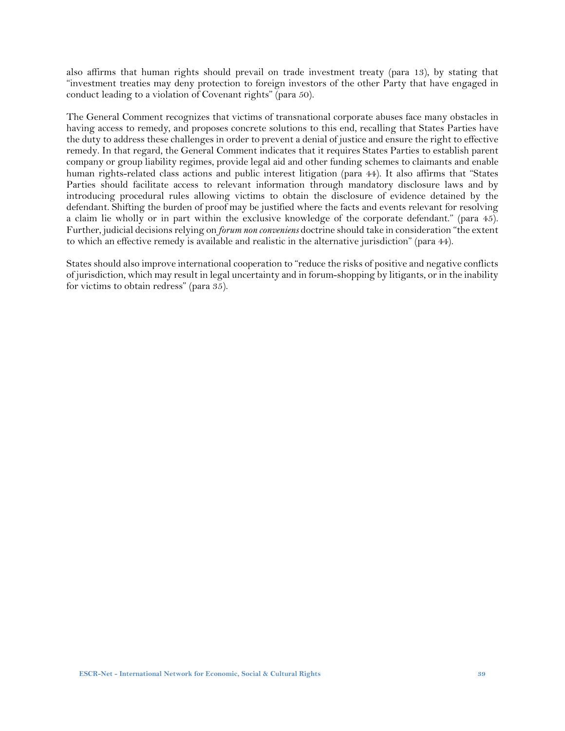also affirms that human rights should prevail on trade investment treaty (para 13), by stating that "investment treaties may deny protection to foreign investors of the other Party that have engaged in conduct leading to a violation of Covenant rights" (para 50).

The General Comment recognizes that victims of transnational corporate abuses face many obstacles in having access to remedy, and proposes concrete solutions to this end, recalling that States Parties have the duty to address these challenges in order to prevent a denial of justice and ensure the right to effective remedy. In that regard, the General Comment indicates that it requires States Parties to establish parent company or group liability regimes, provide legal aid and other funding schemes to claimants and enable human rights-related class actions and public interest litigation (para 44). It also affirms that "States Parties should facilitate access to relevant information through mandatory disclosure laws and by introducing procedural rules allowing victims to obtain the disclosure of evidence detained by the defendant. Shifting the burden of proof may be justified where the facts and events relevant for resolving a claim lie wholly or in part within the exclusive knowledge of the corporate defendant." (para 45). Further, judicial decisions relying on *forum non conveniens* doctrine should take in consideration "the extent to which an effective remedy is available and realistic in the alternative jurisdiction" (para 44).

States should also improve international cooperation to "reduce the risks of positive and negative conflicts of jurisdiction, which may result in legal uncertainty and in forum-shopping by litigants, orin the inability for victims to obtain redress" (para 35).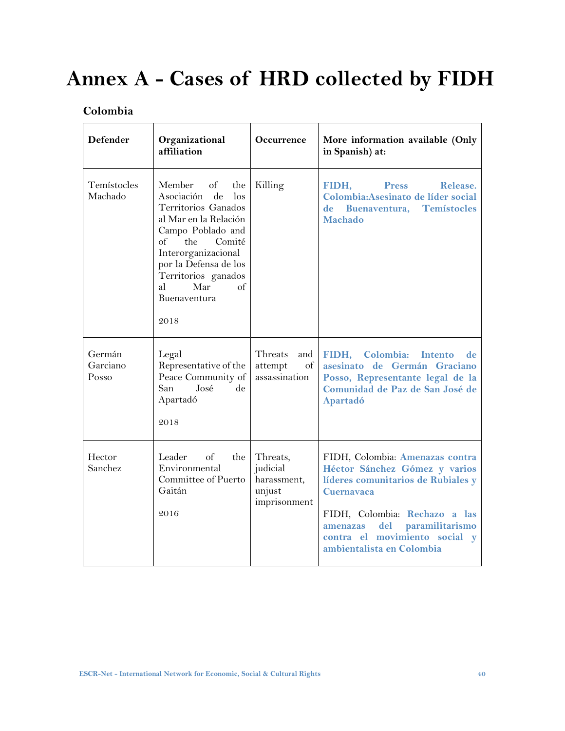# <span id="page-39-0"></span>**Annex A - Cases of HRD collected by FIDH**

#### <span id="page-39-1"></span>**Colombia**

| <b>Defender</b>             | Organizational<br>affiliation                                                                                                                                                                                                                                                               | <b>Occurrence</b>                                             | More information available (Only<br>in Spanish) at:                                                                                                                                                                                                           |
|-----------------------------|---------------------------------------------------------------------------------------------------------------------------------------------------------------------------------------------------------------------------------------------------------------------------------------------|---------------------------------------------------------------|---------------------------------------------------------------------------------------------------------------------------------------------------------------------------------------------------------------------------------------------------------------|
| Temístocles<br>Machado      | Member<br>of<br>the<br>$\mathrm{d}\mathrm{e}$<br>Asociación<br>$\log$<br>Territorios Ganados<br>al Mar en la Relación<br>Campo Poblado and<br>Comité<br>of<br>the<br>Interorganizacional<br>por la Defensa de los<br>Territorios ganados<br>al<br>Mar<br>$\alpha$ f<br>Buenaventura<br>2018 | Killing                                                       | Release.<br>FIDH,<br><b>Press</b><br>Colombia: Asesinato de líder social<br><b>Temístocles</b><br>de Buenaventura,<br>Machado                                                                                                                                 |
| Germán<br>Garciano<br>Posso | Legal<br>Representative of the<br>Peace Community of<br>San<br>José<br>de<br>Apartadó<br>2018                                                                                                                                                                                               | Threats<br>and<br>of<br>attempt<br>assassination              | FIDH, Colombia: Intento<br>de<br>asesinato de Germán Graciano<br>Posso, Representante legal de la<br>Comunidad de Paz de San José de<br>Apartadó                                                                                                              |
| Hector<br>Sanchez           | Leader<br>the<br>of<br>Environmental<br>Committee of Puerto<br>Gaitán<br>2016                                                                                                                                                                                                               | Threats,<br>judicial<br>harassment,<br>unjust<br>imprisonment | FIDH, Colombia: Amenazas contra<br>Héctor Sánchez Gómez y varios<br>líderes comunitarios de Rubiales y<br><b>Cuernavaca</b><br>FIDH, Colombia: Rechazo a las<br>del paramilitarismo<br>amenazas<br>contra el movimiento social y<br>ambientalista en Colombia |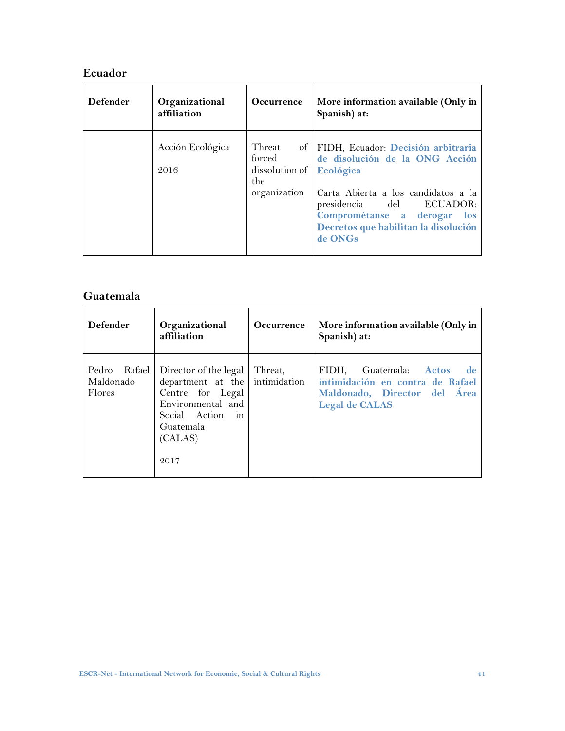#### <span id="page-40-0"></span>**Ecuador**

| <b>Defender</b> | Organizational<br>affiliation | Occurrence                                                | More information available (Only in<br>Spanish) at:                                                                                                                                                                                       |
|-----------------|-------------------------------|-----------------------------------------------------------|-------------------------------------------------------------------------------------------------------------------------------------------------------------------------------------------------------------------------------------------|
|                 | Acción Ecológica<br>2016      | Threat<br>forced<br>dissolution of<br>the<br>organization | of FIDH, Ecuador: Decisión arbitraria<br>de disolución de la ONG Acción<br>Ecológica<br>Carta Abierta a los candidatos a la<br>presidencia del ECUADOR:<br>Comprométanse a derogar los<br>Decretos que habilitan la disolución<br>de ONGs |
|                 |                               |                                                           |                                                                                                                                                                                                                                           |

#### <span id="page-40-1"></span>**Guatemala**

| <b>Defender</b>                        | Organizational<br>affiliation                                                                                                                                                | <b>Occurrence</b> | More information available (Only in<br>Spanish) at:                                                                           |
|----------------------------------------|------------------------------------------------------------------------------------------------------------------------------------------------------------------------------|-------------------|-------------------------------------------------------------------------------------------------------------------------------|
| Pedro<br>Rafael<br>Maldonado<br>Flores | Director of the legal<br>department at the intimidation<br>Centre for Legal<br>Environmental and<br>Social Action<br>$\overline{\mathbf{m}}$<br>Guatemala<br>(CALAS)<br>2017 | Threat,           | FIDH. Guatemala: Actos<br>- de -<br>intimidación en contra de Rafael<br>Maldonado, Director del Área<br><b>Legal de CALAS</b> |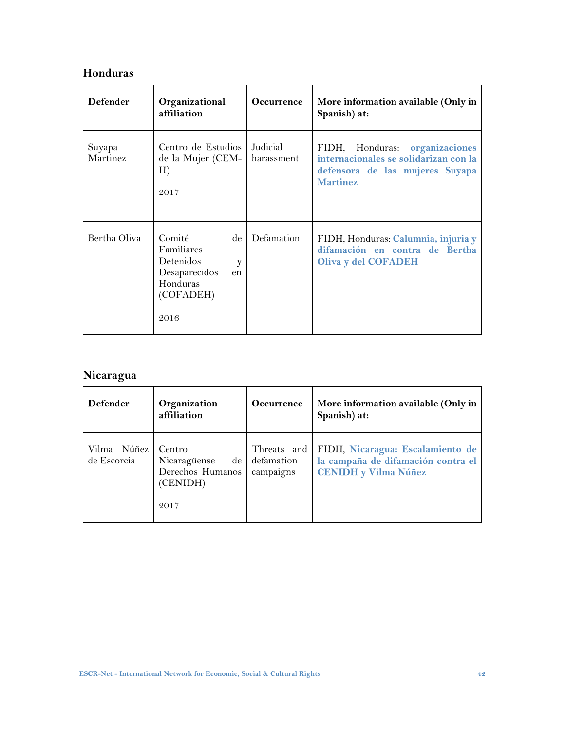#### <span id="page-41-0"></span>**Honduras**

Ē

| <b>Defender</b>    | Organizational<br>affiliation                                                                        | <b>Occurrence</b>      | More information available (Only in<br>Spanish) at:                                                                              |
|--------------------|------------------------------------------------------------------------------------------------------|------------------------|----------------------------------------------------------------------------------------------------------------------------------|
| Suyapa<br>Martinez | Centro de Estudios<br>de la Mujer (CEM-<br>H)<br>2017                                                | Judicial<br>harassment | FIDH, Honduras:<br>organizaciones<br>internacionales se solidarizan con la<br>defensora de las mujeres Suyapa<br><b>Martinez</b> |
| Bertha Oliva       | Comité<br>de<br>Familiares<br>Detenidos<br>y<br>Desaparecidos<br>en<br>Honduras<br>(COFADEH)<br>2016 | Defamation             | FIDH, Honduras: Calumnia, injuria y<br>difamación en contra de Bertha<br>Oliva y del COFADEH                                     |

#### <span id="page-41-1"></span>**Nicaragua**

| Defender                   | Organization<br>affiliation                                            | Occurrence                             | More information available (Only in<br>Spanish) at:                                                   |
|----------------------------|------------------------------------------------------------------------|----------------------------------------|-------------------------------------------------------------------------------------------------------|
| Vilma Núñez<br>de Escorcia | - Centro<br>Nicaragüense<br>de<br>Derechos Humanos<br>(CENIDH)<br>2017 | Threats and<br>defamation<br>campaigns | FIDH, Nicaragua: Escalamiento de<br>la campaña de difamación contra el<br><b>CENIDH</b> y Vilma Núñez |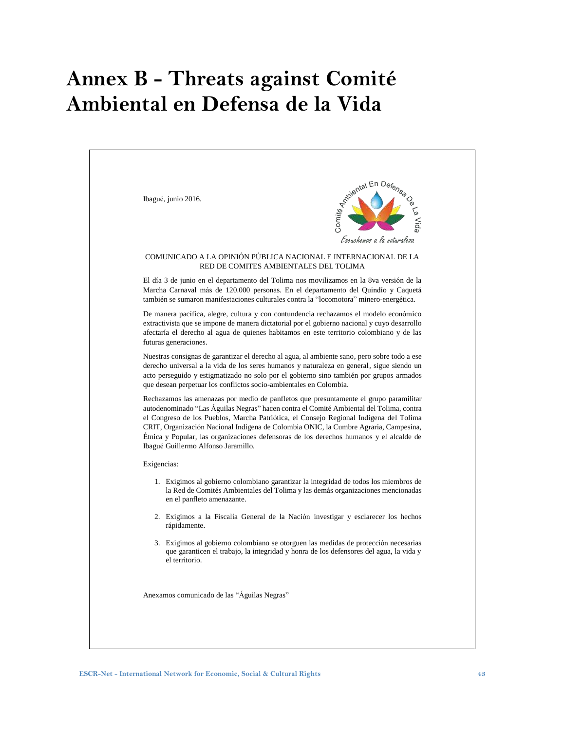# <span id="page-42-0"></span>**Annex B - Threats against Comité Ambiental en Defensa de la Vida**

| COMUNICADO A LA OPINIÓN PÚBLICA NACIONAL E INTERNACIONAL DE LA<br>RED DE COMITES AMBIENTALES DEL TOLIMA<br>El día 3 de junio en el departamento del Tolima nos movilizamos en la 8va versión de la<br>Marcha Carnaval más de 120.000 personas. En el departamento del Quindío y Caquetá<br>también se sumaron manifestaciones culturales contra la "locomotora" minero-energética.<br>De manera pacífica, alegre, cultura y con contundencia rechazamos el modelo económico<br>extractivista que se impone de manera dictatorial por el gobierno nacional y cuyo desarrollo<br>afectaría el derecho al agua de quienes habitamos en este territorio colombiano y de las<br>futuras generaciones.<br>Nuestras consignas de garantizar el derecho al agua, al ambiente sano, pero sobre todo a ese<br>derecho universal a la vida de los seres humanos y naturaleza en general, sigue siendo un<br>acto perseguido y estigmatizado no solo por el gobierno sino también por grupos armados<br>que desean perpetuar los conflictos socio-ambientales en Colombia.<br>Rechazamos las amenazas por medio de panfletos que presuntamente el grupo paramilitar<br>autodenominado "Las Águilas Negras" hacen contra el Comité Ambiental del Tolima, contra<br>el Congreso de los Pueblos, Marcha Patriótica, el Consejo Regional Indígena del Tolima<br>CRIT, Organización Nacional Indígena de Colombia ONIC, la Cumbre Agraria, Campesina,<br>Étnica y Popular, las organizaciones defensoras de los derechos humanos y el alcalde de<br>Ibagué Guillermo Alfonso Jaramillo.<br>Exigencias:<br>1. Exigimos al gobierno colombiano garantizar la integridad de todos los miembros de<br>la Red de Comités Ambientales del Tolima y las demás organizaciones mencionadas<br>en el panfleto amenazante.<br>2. Exigimos a la Fiscalía General de la Nación investigar y esclarecer los hechos<br>rápidamente.<br>3. Exigimos al gobierno colombiano se otorguen las medidas de protección necesarias<br>que garanticen el trabajo, la integridad y honra de los defensores del agua, la vida y<br>el territorio.<br>Anexamos comunicado de las "Águilas Negras" | Ibagué, junio 2016. | <b>Reported En Defense</b><br>Escuchemos a la nataraleza |
|-------------------------------------------------------------------------------------------------------------------------------------------------------------------------------------------------------------------------------------------------------------------------------------------------------------------------------------------------------------------------------------------------------------------------------------------------------------------------------------------------------------------------------------------------------------------------------------------------------------------------------------------------------------------------------------------------------------------------------------------------------------------------------------------------------------------------------------------------------------------------------------------------------------------------------------------------------------------------------------------------------------------------------------------------------------------------------------------------------------------------------------------------------------------------------------------------------------------------------------------------------------------------------------------------------------------------------------------------------------------------------------------------------------------------------------------------------------------------------------------------------------------------------------------------------------------------------------------------------------------------------------------------------------------------------------------------------------------------------------------------------------------------------------------------------------------------------------------------------------------------------------------------------------------------------------------------------------------------------------------------------------------------------------------------------------------------------------------------------------------------------------------------------|---------------------|----------------------------------------------------------|
|                                                                                                                                                                                                                                                                                                                                                                                                                                                                                                                                                                                                                                                                                                                                                                                                                                                                                                                                                                                                                                                                                                                                                                                                                                                                                                                                                                                                                                                                                                                                                                                                                                                                                                                                                                                                                                                                                                                                                                                                                                                                                                                                                       |                     |                                                          |
|                                                                                                                                                                                                                                                                                                                                                                                                                                                                                                                                                                                                                                                                                                                                                                                                                                                                                                                                                                                                                                                                                                                                                                                                                                                                                                                                                                                                                                                                                                                                                                                                                                                                                                                                                                                                                                                                                                                                                                                                                                                                                                                                                       |                     |                                                          |
|                                                                                                                                                                                                                                                                                                                                                                                                                                                                                                                                                                                                                                                                                                                                                                                                                                                                                                                                                                                                                                                                                                                                                                                                                                                                                                                                                                                                                                                                                                                                                                                                                                                                                                                                                                                                                                                                                                                                                                                                                                                                                                                                                       |                     |                                                          |
|                                                                                                                                                                                                                                                                                                                                                                                                                                                                                                                                                                                                                                                                                                                                                                                                                                                                                                                                                                                                                                                                                                                                                                                                                                                                                                                                                                                                                                                                                                                                                                                                                                                                                                                                                                                                                                                                                                                                                                                                                                                                                                                                                       |                     |                                                          |
|                                                                                                                                                                                                                                                                                                                                                                                                                                                                                                                                                                                                                                                                                                                                                                                                                                                                                                                                                                                                                                                                                                                                                                                                                                                                                                                                                                                                                                                                                                                                                                                                                                                                                                                                                                                                                                                                                                                                                                                                                                                                                                                                                       |                     |                                                          |
|                                                                                                                                                                                                                                                                                                                                                                                                                                                                                                                                                                                                                                                                                                                                                                                                                                                                                                                                                                                                                                                                                                                                                                                                                                                                                                                                                                                                                                                                                                                                                                                                                                                                                                                                                                                                                                                                                                                                                                                                                                                                                                                                                       |                     |                                                          |
|                                                                                                                                                                                                                                                                                                                                                                                                                                                                                                                                                                                                                                                                                                                                                                                                                                                                                                                                                                                                                                                                                                                                                                                                                                                                                                                                                                                                                                                                                                                                                                                                                                                                                                                                                                                                                                                                                                                                                                                                                                                                                                                                                       |                     |                                                          |
|                                                                                                                                                                                                                                                                                                                                                                                                                                                                                                                                                                                                                                                                                                                                                                                                                                                                                                                                                                                                                                                                                                                                                                                                                                                                                                                                                                                                                                                                                                                                                                                                                                                                                                                                                                                                                                                                                                                                                                                                                                                                                                                                                       |                     |                                                          |
|                                                                                                                                                                                                                                                                                                                                                                                                                                                                                                                                                                                                                                                                                                                                                                                                                                                                                                                                                                                                                                                                                                                                                                                                                                                                                                                                                                                                                                                                                                                                                                                                                                                                                                                                                                                                                                                                                                                                                                                                                                                                                                                                                       |                     |                                                          |
|                                                                                                                                                                                                                                                                                                                                                                                                                                                                                                                                                                                                                                                                                                                                                                                                                                                                                                                                                                                                                                                                                                                                                                                                                                                                                                                                                                                                                                                                                                                                                                                                                                                                                                                                                                                                                                                                                                                                                                                                                                                                                                                                                       |                     |                                                          |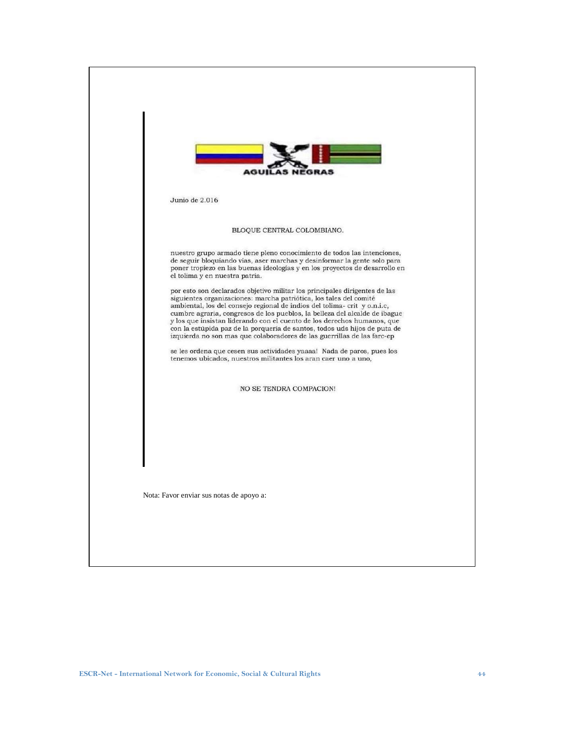| Junio de 2.016                                                                                                                                                                                                                                                                                                                                                                                                                                                                                                                                 |
|------------------------------------------------------------------------------------------------------------------------------------------------------------------------------------------------------------------------------------------------------------------------------------------------------------------------------------------------------------------------------------------------------------------------------------------------------------------------------------------------------------------------------------------------|
|                                                                                                                                                                                                                                                                                                                                                                                                                                                                                                                                                |
| BLOQUE CENTRAL COLOMBIANO.                                                                                                                                                                                                                                                                                                                                                                                                                                                                                                                     |
| nuestro grupo armado tiene pleno conocimiento de todos las intenciones,<br>de seguir bloquiando vías, aser marchas y desinformar la gente solo para<br>poner tropiezo en las buenas ideologías y en los proyectos de desarrollo en<br>el tolima y en nuestra patria.                                                                                                                                                                                                                                                                           |
| por esto son declarados objetivo militar los principales dirigentes de las<br>siguientes organizaciones: marcha patriótica, los tales del comité<br>ambiental, los del consejo regional de indios del tolima- crit y o.n.i.c,<br>cumbre agraria, congresos de los pueblos, la belleza del alcalde de ibague<br>y los que insistan liderando con el cuento de los derechos humanos, que<br>con la estúpida paz de la porquería de santos, todos uds hijos de puta de<br>izquierda no son mas que colaboradores de las guerrillas de las farc-ep |
| se les ordena que cesen sus actividades yaaaa! Nada de paros, pues los<br>tenemos ubicados, nuestros militantes los aran caer uno a uno,                                                                                                                                                                                                                                                                                                                                                                                                       |
| NO SE TENDRA COMPACION!                                                                                                                                                                                                                                                                                                                                                                                                                                                                                                                        |
|                                                                                                                                                                                                                                                                                                                                                                                                                                                                                                                                                |
|                                                                                                                                                                                                                                                                                                                                                                                                                                                                                                                                                |
|                                                                                                                                                                                                                                                                                                                                                                                                                                                                                                                                                |
| Nota: Favor enviar sus notas de apoyo a:                                                                                                                                                                                                                                                                                                                                                                                                                                                                                                       |
|                                                                                                                                                                                                                                                                                                                                                                                                                                                                                                                                                |